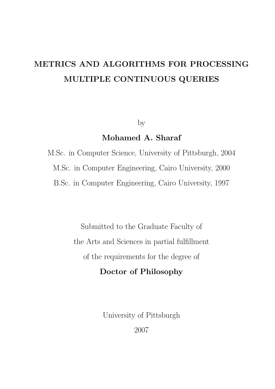# METRICS AND ALGORITHMS FOR PROCESSING MULTIPLE CONTINUOUS QUERIES

by

# Mohamed A. Sharaf

M.Sc. in Computer Science, University of Pittsburgh, 2004 M.Sc. in Computer Engineering, Cairo University, 2000 B.Sc. in Computer Engineering, Cairo University, 1997

> Submitted to the Graduate Faculty of the Arts and Sciences in partial fulfillment of the requirements for the degree of

# Doctor of Philosophy

University of Pittsburgh 2007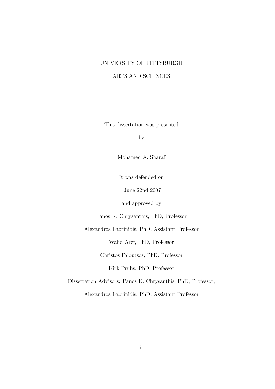#### UNIVERSITY OF PITTSBURGH

#### ARTS AND SCIENCES

This dissertation was presented

by

Mohamed A. Sharaf

It was defended on

June 22nd 2007

and approved by

Panos K. Chrysanthis, PhD, Professor

Alexandros Labrinidis, PhD, Assistant Professor

Walid Aref, PhD, Professor

Christos Faloutsos, PhD, Professor

Kirk Pruhs, PhD, Professor

Dissertation Advisors: Panos K. Chrysanthis, PhD, Professor,

Alexandros Labrinidis, PhD, Assistant Professor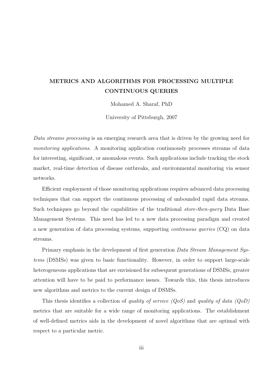# METRICS AND ALGORITHMS FOR PROCESSING MULTIPLE CONTINUOUS QUERIES

Mohamed A. Sharaf, PhD

University of Pittsburgh, 2007

Data streams processing is an emerging research area that is driven by the growing need for monitoring applications. A monitoring application continuously processes streams of data for interesting, significant, or anomalous events. Such applications include tracking the stock market, real-time detection of disease outbreaks, and environmental monitoring via sensor networks.

Efficient employment of those monitoring applications requires advanced data processing techniques that can support the continuous processing of unbounded rapid data streams. Such techniques go beyond the capabilities of the traditional *store-then-query* Data Base Management Systems. This need has led to a new data processing paradigm and created a new generation of data processing systems, supporting continuous queries (CQ) on data streams.

Primary emphasis in the development of first generation Data Stream Management Systems (DSMSs) was given to basic functionality. However, in order to support large-scale heterogeneous applications that are envisioned for subsequent generations of DSMSs, greater attention will have to be paid to performance issues. Towards this, this thesis introduces new algorithms and metrics to the current design of DSMSs.

This thesis identifies a collection of quality of service  $(QoS)$  and quality of data  $(QoD)$ metrics that are suitable for a wide range of monitoring applications. The establishment of well-defined metrics aids in the development of novel algorithms that are optimal with respect to a particular metric.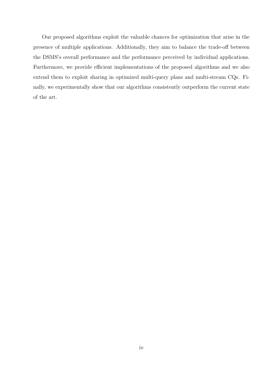Our proposed algorithms exploit the valuable chances for optimization that arise in the presence of multiple applications. Additionally, they aim to balance the trade-off between the DSMS's overall performance and the performance perceived by individual applications. Furthermore, we provide efficient implementations of the proposed algorithms and we also extend them to exploit sharing in optimized multi-query plans and multi-stream CQs. Finally, we experimentally show that our algorithms consistently outperform the current state of the art.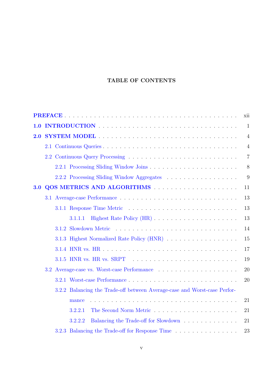### TABLE OF CONTENTS

|     | xii                                                                            |                |  |
|-----|--------------------------------------------------------------------------------|----------------|--|
| 1.0 |                                                                                | 1              |  |
| 2.0 |                                                                                | $\overline{4}$ |  |
|     |                                                                                | $\overline{4}$ |  |
|     |                                                                                | $\overline{7}$ |  |
|     |                                                                                | 8              |  |
|     |                                                                                | 9              |  |
| 3.0 |                                                                                | 11             |  |
|     |                                                                                | 13             |  |
|     |                                                                                | 13             |  |
|     | 3.1.1.1                                                                        | 13             |  |
|     |                                                                                | 14             |  |
|     | 3.1.3 Highest Normalized Rate Policy (HNR)                                     | 15             |  |
|     |                                                                                | 17             |  |
|     | $3.1.5$ HNR vs. HR vs. SRPT $\ldots \ldots \ldots \ldots \ldots \ldots \ldots$ | 19             |  |
|     |                                                                                | 20             |  |
|     |                                                                                | 20             |  |
|     | 3.2.2 Balancing the Trade-off between Average-case and Worst-case Perfor-      |                |  |
|     | mance                                                                          | 21             |  |
|     | 3.2.2.1                                                                        | 21             |  |
|     | Balancing the Trade-off for Slowdown<br>3.2.2.2                                | 21             |  |
|     | 3.2.3 Balancing the Trade-off for Response Time                                | 23             |  |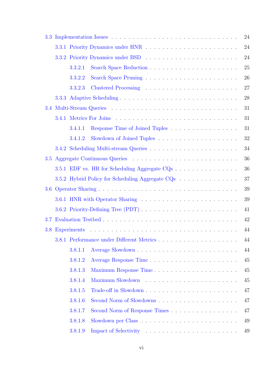| 3.3 |         |                                                  | 24     |
|-----|---------|--------------------------------------------------|--------|
|     |         | 3.3.1 Priority Dynamics under HNR                | 24     |
|     |         |                                                  | 24     |
|     | 3.3.2.1 |                                                  | $25\,$ |
|     | 3.3.2.2 |                                                  | 26     |
|     | 3.3.2.3 |                                                  | 27     |
|     |         |                                                  | 28     |
|     |         |                                                  | 31     |
|     |         |                                                  | 31     |
|     | 3.4.1.1 |                                                  | 31     |
|     | 3.4.1.2 |                                                  | 32     |
|     |         |                                                  | 34     |
|     |         |                                                  | 36     |
|     |         | 3.5.1 EDF vs. HR for Scheduling Aggregate CQs    | 36     |
|     |         | 3.5.2 Hybrid Policy for Scheduling Aggregate CQs | 37     |
|     |         |                                                  | $39\,$ |
|     |         |                                                  | 39     |
|     |         |                                                  | 41     |
| 3.7 |         |                                                  | 42     |
| 3.8 |         |                                                  | 44     |
|     |         | 3.8.1 Performance under Different Metrics.       | 44     |
|     | 3.8.1.1 |                                                  | 44     |
|     | 3.8.1.2 |                                                  | 45     |
|     | 3.8.1.3 | Maximum Response Time                            | 45     |
|     | 3.8.1.4 |                                                  | 45     |
|     | 3.8.1.5 |                                                  | 47     |
|     | 3.8.1.6 |                                                  | 47     |
|     | 3.8.1.7 | Second Norm of Response Times                    | 47     |
|     | 3.8.1.8 |                                                  | 49     |
|     | 3.8.1.9 |                                                  | 49     |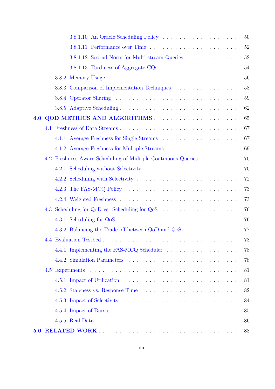|     |     | 3.8.1.10 An Oracle Scheduling Policy                          | 50     |
|-----|-----|---------------------------------------------------------------|--------|
|     |     |                                                               | $52\,$ |
|     |     | 3.8.1.12 Second Norm for Multi-stream Queries                 | $52\,$ |
|     |     |                                                               | 54     |
|     |     |                                                               | 56     |
|     |     | 3.8.3 Comparison of Implementation Techniques                 | 58     |
|     |     |                                                               | 59     |
|     |     |                                                               | 62     |
| 4.0 |     |                                                               | 65     |
|     |     |                                                               | 67     |
|     |     |                                                               | 67     |
|     |     | 4.1.2 Average Freshness for Multiple Streams                  | 69     |
|     |     | 4.2 Freshness-Aware Scheduling of Multiple Continuous Queries | 70     |
|     |     | 4.2.1 Scheduling without Selectivity                          | 70     |
|     |     |                                                               | 72     |
|     |     |                                                               | 73     |
|     |     |                                                               | 73     |
|     |     |                                                               | 76     |
|     |     |                                                               | 76     |
|     |     | 4.3.2 Balancing the Trade-off between QoD and QoS             | 77     |
|     |     |                                                               | 78     |
|     |     | 4.4.1 Implementing the FAS-MCQ Scheduler                      | 78     |
|     |     |                                                               | 78     |
|     | 4.5 |                                                               | 81     |
|     |     |                                                               | 81     |
|     |     |                                                               | 82     |
|     |     |                                                               | 84     |
|     |     |                                                               | 85     |
|     |     |                                                               | 86     |
| 5.0 |     |                                                               | 88     |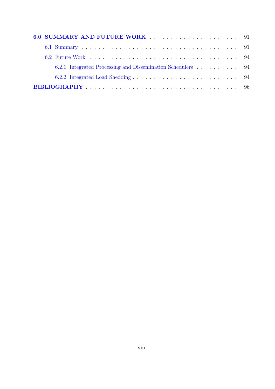|  | 6.2.1 Integrated Processing and Dissemination Schedulers 94 |  |
|--|-------------------------------------------------------------|--|
|  |                                                             |  |
|  |                                                             |  |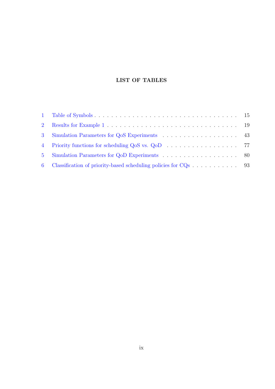### LIST OF TABLES

| 2 <sup>1</sup> |                                                |  |
|----------------|------------------------------------------------|--|
|                | 3 Simulation Parameters for QoS Experiments 43 |  |
|                |                                                |  |
|                |                                                |  |
| 6 <sup>1</sup> |                                                |  |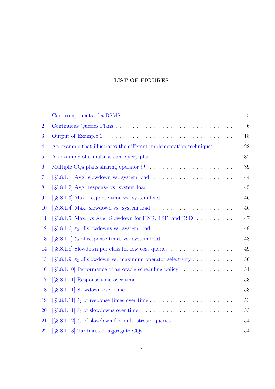### LIST OF FIGURES

| 1              |                                                                                                  | $\bf 5$         |
|----------------|--------------------------------------------------------------------------------------------------|-----------------|
| $\overline{2}$ |                                                                                                  | $6\phantom{.}6$ |
| 3              |                                                                                                  | 18              |
| $\overline{4}$ | An example that illustrates the different implementation techniques                              | 28              |
| $\overline{5}$ |                                                                                                  | 32              |
| 6              |                                                                                                  | 39              |
| $\overline{7}$ |                                                                                                  | 44              |
| 8              |                                                                                                  | 45              |
| 9              |                                                                                                  | 46              |
| 10             |                                                                                                  | 46              |
| 11             | $\S3.8.1.5$ Max. vs Avg. Slowdown for HNR, LSF, and BSD $\ldots$                                 | 47              |
| 12             |                                                                                                  | 48              |
| 13             |                                                                                                  | 48              |
| 14             | $\S3.8.1.8$ Slowdown per class for low-cost queries                                              | 49              |
| 15             | $\left[\S 3.8.1.9\right] \ell_2$ of slowdown vs. maximum operator selectivity                    | 50              |
| 16             | [§3.8.1.10] Performance of an oracle scheduling policy                                           | 51              |
| 17             | $[$ §3.8.1.11] Response time over time $\ldots \ldots \ldots \ldots \ldots \ldots \ldots \ldots$ | 53              |
| 18             | $\S3.8.1.11$ Slowdown over time $\ldots \ldots \ldots \ldots \ldots \ldots \ldots \ldots \ldots$ | 53              |
| 19             | $\left[\S3.8.1.11\right] \ell_2$ of response times over time                                     | 53              |
| 20             |                                                                                                  | 53              |
| 21             | $\left[\S 3.8.1.12\right] \ell_2$ of slowdown for multi-stream queries                           | 54              |
| 22             |                                                                                                  | 54              |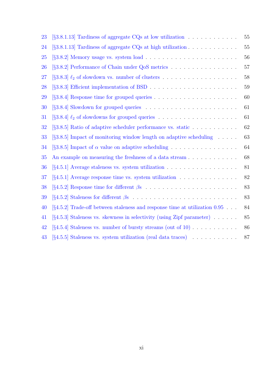| 23        | [ $\S3.8.1.13$ ] Tardiness of aggregate CQs at low utilization                                                          | 55     |
|-----------|-------------------------------------------------------------------------------------------------------------------------|--------|
| 24        | [ $\S3.8.1.13$ ] Tardiness of aggregate CQs at high utilization                                                         | 55     |
| <b>25</b> |                                                                                                                         | 56     |
| 26        | [§3.8.2] Performance of Chain under QoS metrics                                                                         | 57     |
| 27        |                                                                                                                         | 58     |
| 28        | $[$ §3.8.3 <sup><math>]</math></sup> Efficient implementation of BSD $\ldots \ldots \ldots \ldots \ldots \ldots \ldots$ | $59\,$ |
| 29        |                                                                                                                         | 60     |
| 30        |                                                                                                                         | 61     |
| 31        |                                                                                                                         | 61     |
| 32        | $\S3.8.5$ Ratio of adaptive scheduler performance vs. static                                                            | 62     |
| 33        | $\S3.8.5$ Impact of monitoring window length on adaptive scheduling $\ldots$ .                                          | 63     |
| 34        | [ $\S3.8.5$ ] Impact of $\alpha$ value on adaptive scheduling                                                           | 64     |
| 35        | An example on measuring the freshness of a data stream                                                                  | 68     |
| 36        |                                                                                                                         | 81     |
| 37        |                                                                                                                         | 82     |
| 38        |                                                                                                                         | 83     |
| 39        |                                                                                                                         | 83     |
| 40        | $[\S 4.5.2]$ Trade-off between staleness and response time at utilization 0.95                                          | 84     |
| 41        | [§4.5.3] Staleness vs. skewness in selectivity (using Zipf parameter)                                                   | 85     |
| 42        | $[\S 4.5.4]$ Staleness vs. number of bursty streams (out of 10)                                                         | 86     |
| 43        | $[\S 4.5.5]$ Staleness vs. system utilization (real data traces)                                                        | 87     |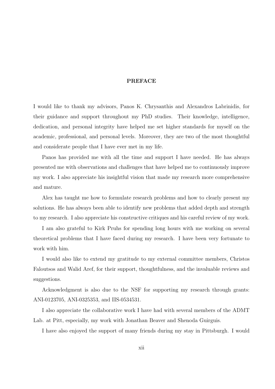#### PREFACE

<span id="page-11-0"></span>I would like to thank my advisors, Panos K. Chrysanthis and Alexandros Labrinidis, for their guidance and support throughout my PhD studies. Their knowledge, intelligence, dedication, and personal integrity have helped me set higher standards for myself on the academic, professional, and personal levels. Moreover, they are two of the most thoughtful and considerate people that I have ever met in my life.

Panos has provided me with all the time and support I have needed. He has always presented me with observations and challenges that have helped me to continuously improve my work. I also appreciate his insightful vision that made my research more comprehensive and mature.

Alex has taught me how to formulate research problems and how to clearly present my solutions. He has always been able to identify new problems that added depth and strength to my research. I also appreciate his constructive critiques and his careful review of my work.

I am also grateful to Kirk Pruhs for spending long hours with me working on several theoretical problems that I have faced during my research. I have been very fortunate to work with him.

I would also like to extend my gratitude to my external committee members, Christos Faloutsos and Walid Aref, for their support, thoughtfulness, and the invaluable reviews and suggestions.

Acknowledgment is also due to the NSF for supporting my research through grants: ANI-0123705, ANI-0325353, and IIS-0534531.

I also appreciate the collaborative work I have had with several members of the ADMT Lab. at Pitt, especially, my work with Jonathan Beaver and Shenoda Guirguis.

I have also enjoyed the support of many friends during my stay in Pittsburgh. I would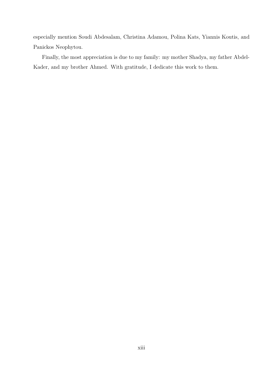especially mention Soudi Abdesalam, Christina Adamou, Polina Kats, Yiannis Koutis, and Panickos Neophytou.

Finally, the most appreciation is due to my family: my mother Shadya, my father Abdel-Kader, and my brother Ahmed. With gratitude, I dedicate this work to them.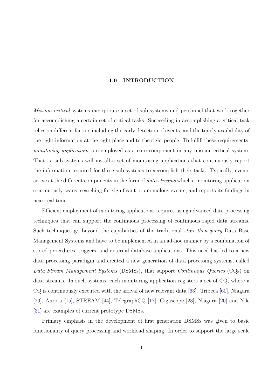#### 1.0 INTRODUCTION

<span id="page-13-0"></span>Mission-critical systems incorporate a set of sub-systems and personnel that work together for accomplishing a certain set of critical tasks. Succeeding in accomplishing a critical task relies on different factors including the early detection of events, and the timely availability of the right information at the right place and to the right people. To fulfill these requirements, monitoring applications are employed as a core component in any mission-critical system. That is, sub-systems will install a set of monitoring applications that continuously report the information required for these sub-systems to accomplish their tasks. Typically, events arrive at the different components in the form of *data streams* which a monitoring application continuously scans, searching for significant or anomalous events, and reports its findings in near real-time.

Efficient employment of monitoring applications requires using advanced data processing techniques that can support the continuous processing of continuous rapid data streams. Such techniques go beyond the capabilities of the traditional *store-then-query* Data Base Management Systems and have to be implemented in an ad-hoc manner by a combination of stored procedures, triggers, and external database applications. This need has led to a new data processing paradigm and created a new generation of data processing systems, called Data Stream Management Systems (DSMSs), that support Continuous Queries (CQs) on data streams. In such systems, each monitoring application registers a set of CQ, where a  $CQ$  is continuously executed with the arrival of new relevant data [63]. Tribeca [60], Niagara [20], Aurora [15], STREAM [44], TelegraphCQ [17], Gigascope [23], Niagara [20] and Nile [31] are examples of current prototype DSMSs.

Primary [emp](#page-109-0)hasis in the [de](#page-111-0)velopment of fi[rst](#page-109-0) generation [DSM](#page-109-0)Ss was gi[ven](#page-109-0) to basic [fun](#page-110-0)ctionality of query processing and workload shaping. In order to support the large scale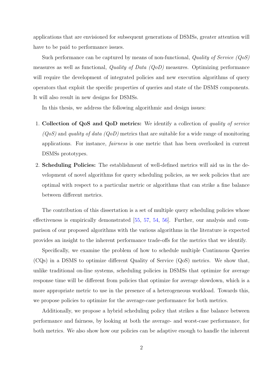applications that are envisioned for subsequent generations of DSMSs, greater attention will have to be paid to performance issues.

Such performance can be captured by means of non-functional, Quality of Service  $(QoS)$ measures as well as functional, Quality of Data (QoD) measures. Optimizing performance will require the development of integrated policies and new execution algorithms of query operators that exploit the specific properties of queries and state of the DSMS components. It will also result in new designs for DSMSs.

In this thesis, we address the following algorithmic and design issues:

- 1. Collection of QoS and QoD metrics: We identify a collection of *quality of service*  $(QoS)$  and quality of data  $(QoD)$  metrics that are suitable for a wide range of monitoring applications. For instance, fairness is one metric that has been overlooked in current DSMSs prototypes.
- 2. Scheduling Policies: The establishment of well-defined metrics will aid us in the development of novel algorithms for query scheduling policies, as we seek policies that are optimal with respect to a particular metric or algorithms that can strike a fine balance between different metrics.

The contribution of this dissertation is a set of multiple query scheduling policies whose effectiveness is empirically demonstrated [55, 57, 54, 56]. Further, our analysis and comparison of our proposed algorithms with the various algorithms in the literature is expected provides an insight to the inherent perfor[mance t](#page-112-0)r[ade-offs](#page-112-0) for the metrics that we identify.

Specifically, we examine the problem of how to schedule multiple Continuous Queries (CQs) in a DSMS to optimize different Quality of Service (QoS) metrics. We show that, unlike traditional on-line systems, scheduling policies in DSMSs that optimize for average response time will be different from policies that optimize for average slowdown, which is a more appropriate metric to use in the presence of a heterogeneous workload. Towards this, we propose policies to optimize for the average-case performance for both metrics.

Additionally, we propose a hybrid scheduling policy that strikes a fine balance between performance and fairness, by looking at both the average- and worst-case performance, for both metrics. We also show how our policies can be adaptive enough to handle the inherent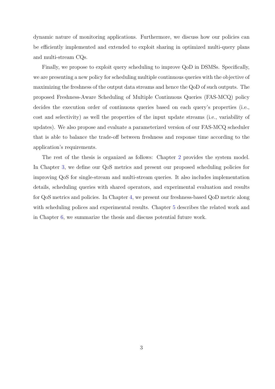dynamic nature of monitoring applications. Furthermore, we discuss how our policies can be efficiently implemented and extended to exploit sharing in optimized multi-query plans and multi-stream CQs.

Finally, we propose to exploit query scheduling to improve QoD in DSMSs. Specifically, we are presenting a new policy for scheduling multiple continuous queries with the objective of maximizing the freshness of the output data streams and hence the QoD of such outputs. The proposed Freshness-Aware Scheduling of Multiple Continuous Queries (FAS-MCQ) policy decides the execution order of continuous queries based on each query's properties (i.e., cost and selectivity) as well the properties of the input update streams (i.e., variability of updates). We also propose and evaluate a parameterized version of our FAS-MCQ scheduler that is able to balance the trade-off between freshness and response time according to the application's requirements.

The rest of the thesis is organized as follows: Chapter 2 provides the system model. In Chapter 3, we define our QoS metrics and present our proposed scheduling policies for improving QoS for single-stream and multi-stream queries. I[t a](#page-16-0)lso includes implementation details, sch[ed](#page-23-0)uling queries with shared operators, and experimental evaluation and results for QoS metrics and policies. In Chapter 4, we present our freshness-based QoD metric along with scheduling polices and experimental results. Chapter 5 describes the related work and in Chapter 6, we summarize the thesis a[nd](#page-77-0) discuss potential future work.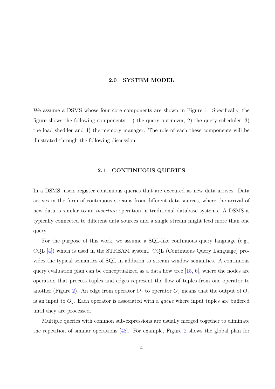#### 2.0 SYSTEM MODEL

<span id="page-16-0"></span>We assume a DSMS whose four core components are shown in Figure 1. Specifically, the figure shows the following components: 1) the query optimizer, 2) the query scheduler, 3) the load shedder and 4) the memory manager. The role of each these [co](#page-17-0)mponents will be illustrated through the following discussion.

#### 2.1 CONTINUOUS QUERIES

In a DSMS, users register continuous queries that are executed as new data arrives. Data arrives in the form of continuous streams from different data sources, where the arrival of new data is similar to an insertion operation in traditional database systems. A DSMS is typically connected to different data sources and a single stream might feed more than one query.

For the purpose of this work, we assume a SQL-like continuous query language (e.g., CQL [4]) which is used in the STREAM system. CQL (Continuous Query Language) provides the typical semantics of SQL in addition to stream window semantics. A continuous query [ev](#page-108-0)aluation plan can be conceptualized as a data flow tree  $[15, 6]$ , where the nodes are operators that process tuples and edges represent the flow of tuples from one operator to another (Figure 2). An edge from operator  $O_x$  to operator  $O_y$  [mean](#page-109-0)[s t](#page-108-0)hat the output of  $O_x$ is an input to  $O_y$ . Each operator is associated with a *queue* where input tuples are buffered until they are p[roc](#page-18-0)essed.

Multiple queries with common sub-expressions are usually merged together to eliminate the repetition of similar operations [48]. For example, Figure 2 shows the global plan for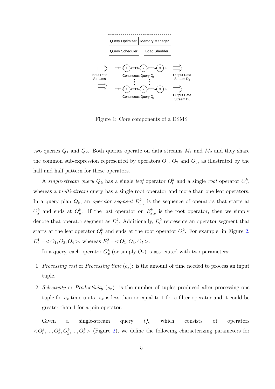<span id="page-17-0"></span>

Figure 1: Core components of a DSMS

two queries  $Q_1$  and  $Q_2$ . Both queries operate on data streams  $M_1$  and  $M_2$  and they share the common sub-expression represented by operators  $O_1$ ,  $O_2$  and  $O_3$ , as illustrated by the half and half pattern for these operators.

A single-stream query  $Q_k$  has a single leaf operator  $O_l^k$  and a single root operator  $O_r^k$ , whereas a *multi-stream* query has a single root operator and more than one leaf operators. In a query plan  $Q_k$ , an *operator segment*  $E^k_{x,y}$  is the sequence of operators that starts at  $O_x^k$  and ends at  $O_y^k$ . If the last operator on  $E_{x,y}^k$  is the root operator, then we simply denote that operator segment as  $E_x^k$ . Additionally,  $E_l^k$  represents an operator segment that starts at the leaf operator  $O_l^k$  and ends at the root operator  $O_r^k$ . For example, in Figure 2,  $E_1^1 = *O*<sub>1</sub>, *O*<sub>3</sub>, *O*<sub>4</sub>>, whereas  $E_1^2 = *O*<sub>1</sub>, *O*<sub>3</sub>, *O*<sub>5</sub>>.$$ 

In a query, each operator  $O_x^k$  (or simply  $O_x$ ) is associated with two parameters:

- 1. Processing cost or Processing time  $(c_x)$ : is the amount of time needed to process an input tuple.
- 2. Selectivity or Productivity  $(s_x)$ : is the number of tuples produced after processing one tuple for  $c_x$  time units.  $s_x$  is less than or equal to 1 for a filter operator and it could be greater than 1 for a join operator.

Given a single-stream query  $Q_k$  which consists of operators  $\langle O_l^k, ..., O_x^k, O_y^k, ..., O_r^k \rangle$  (Figure 2), we define the following characterizing parameters for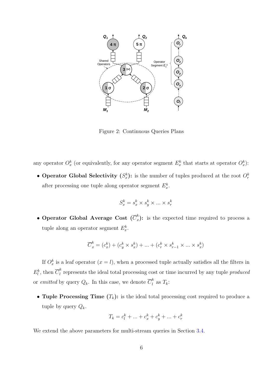<span id="page-18-0"></span>

Figure 2: Continuous Queries Plans

any operator  $O_x^k$  (or equivalently, for any operator segment  $E_x^k$  that starts at operator  $O_x^k$ ):

• Operator Global Selectivity  $(S_x^k)$ : is the number of tuples produced at the root  $O_r^k$ after processing one tuple along operator segment  $E_x^k$ .

$$
S_x^k = s_x^k \times s_y^k \times \ldots \times s_r^k
$$

• Operator Global Average Cost  $(\overline{C}_x^k)$  $\binom{k}{x}$ : is the expected time required to process a tuple along an operator segment  $E_x^k$ .

$$
\overline{C}^k_x = (c^k_x) + (c^k_y \times s^k_x) + \ldots + (c^k_r \times s^k_{r-1} \times \ldots \times s^k_x)
$$

If  $O_x^k$  is a leaf operator  $(x = l)$ , when a processed tuple actually satisfies all the filters in  $E_l^k$ , then  $\overline{C}_l^k$  $\frac{1}{l}$  represents the ideal total processing cost or time incurred by any tuple *produced* or *emitted* by query  $Q_k$ . In this case, we denote  $\overline{C}_l^k$  $\frac{k}{l}$  as  $T_k$ :

• Tuple Processing Time  $(T_k)$ : is the ideal total processing cost required to produce a tuple by query  $Q_k$ .

$$
T_k = c_l^k + \dots + c_x^k + c_y^k + \dots + c_r^k
$$

We extend the above parameters for multi-stream queries in Section 3.4.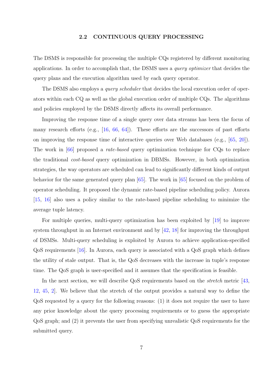#### 2.2 CONTINUOUS QUERY PROCESSING

<span id="page-19-0"></span>The DSMS is responsible for processing the multiple CQs registered by different monitoring applications. In order to accomplish that, the DSMS uses a query optimizer that decides the query plans and the execution algorithm used by each query operator.

The DSMS also employs a *query scheduler* that decides the local execution order of operators within each CQ as well as the global execution order of multiple CQs. The algorithms and policies employed by the DSMS directly affects its overall performance.

Improving the response time of a single query over data streams has been the focus of many research efforts (e.g., [16, 66, 64]). These efforts are the successors of past efforts on improving the response time of interactive queries over Web databases (e.g., [65, 20]). The work in [66] proposed a *[ra](#page-109-0)[te-based](#page-113-0)* query optimization technique for CQs to replace the traditional cost-based query optimization in DBMSs. However, in both opti[miz](#page-113-0)[atio](#page-109-0)n strategies, the [wa](#page-113-0)y operators are scheduled can lead to significantly different kinds of output behavior for the same generated query plan  $|65|$ . The work in  $|65|$  focused on the problem of operator scheduling. It proposed the dynamic rate-based pipeline scheduling policy. Aurora [15, 16] also uses a policy similar to the r[ate](#page-113-0)-based pipelin[e sc](#page-113-0)heduling to minimize the average tuple latency.

[For](#page-109-0) multiple queries, multi-query optimization has been exploited by [19] to improve system throughput in an Internet environment and by  $\vert 42, 18 \vert$  for improving the throughput of DSMSs. Multi-query scheduling is exploited by Aurora to achieve appli[cat](#page-109-0)ion-specified QoS requirements [16]. In Aurora, each query is associ[ate](#page-111-0)[d w](#page-109-0)ith a QoS graph which defines the utility of stale output. That is, the QoS decreases with the increase in tuple's response time. The QoS gra[ph](#page-109-0) is user-specified and it assumes that the specification is feasible.

In the next section, we will describe QoS requirements based on the *stretch* metric [43, 12, 45, 2]. We believe that the stretch of the output provides a natural way to define the QoS requested by a query for the following reasons: (1) it does not require the user to h[ave](#page-111-0) [any](#page-109-0) [pr](#page-111-0)i[or](#page-108-0) knowledge about the query processing requirements or to guess the appropriate QoS graph; and (2) it prevents the user from specifying unrealistic QoS requirements for the submitted query.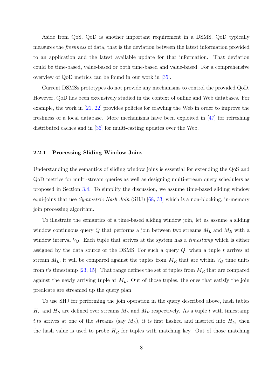<span id="page-20-0"></span>Aside from QoS, QoD is another important requirement in a DSMS. QoD typically measures the freshness of data, that is the deviation between the latest information provided to an application and the latest available update for that information. That deviation could be time-based, value-based or both time-based and value-based. For a comprehensive overview of QoD metrics can be found in our work in [35].

Current DSMSs prototypes do not provide any mechanisms to control the provided QoD. However, QoD has been extensively studied in the cont[ext](#page-110-0) of online and Web databases. For example, the work in [21, 22] provides policies for crawling the Web in order to improve the freshness of a local database. More mechanisms have been exploited in [47] for refreshing distributed caches an[d in \[36](#page-109-0)] for multi-casting updates over the Web.

#### 2.2.1 Processing Slidi[ng](#page-110-0) Window Joins

Understanding the semantics of sliding window joins is essential for extending the QoS and QoD metrics for multi-stream queries as well as designing multi-stream query schedulers as proposed in Section 3.4. To simplify the discussion, we assume time-based sliding window equi-joins that use *Symmetric Hash Join* (SHJ) [68, 33] which is a non-blocking, in-memory join processing algor[ithm](#page-43-0).

To illustrate the semantics of a time-based [slidi](#page-113-0)[ng](#page-110-0) window join, let us assume a sliding window continuous query  $Q$  that performs a join between two streams  $M_L$  and  $M_R$  with a window interval  $V_Q$ . Each tuple that arrives at the system has a *timestamp* which is either assigned by the data source or the DSMS. For such a query  $Q$ , when a tuple t arrives at stream  $M_L$ , it will be compared against the tuples from  $M_R$  that are within  $V_Q$  time units from t's timestamp [23, 15]. That range defines the set of tuples from  $M_R$  that are compared against the newly arriving tuple at  $M<sub>L</sub>$ . Out of those tuples, the ones that satisfy the join predicate are strea[med up](#page-109-0) the query plan.

To use SHJ for performing the join operation in the query described above, hash tables  $H_L$  and  $H_R$  are defined over streams  $M_L$  and  $M_R$  respectively. As a tuple t with timestamp t.ts arrives at one of the streams (say  $M_L$ ), it is first hashed and inserted into  $H_L$ , then the hash value is used to probe  $H_R$  for tuples with matching key. Out of those matching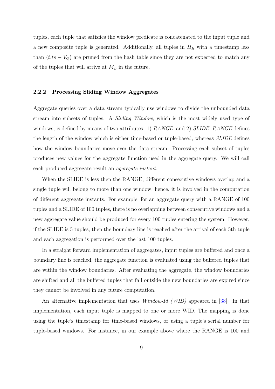<span id="page-21-0"></span>tuples, each tuple that satisfies the window predicate is concatenated to the input tuple and a new composite tuple is generated. Additionally, all tuples in  $H_R$  with a timestamp less than  $(t.ts - V<sub>Q</sub>)$  are pruned from the hash table since they are not expected to match any of the tuples that will arrive at  $M_L$  in the future.

#### 2.2.2 Processing Sliding Window Aggregates

Aggregate queries over a data stream typically use windows to divide the unbounded data stream into subsets of tuples. A Sliding Window, which is the most widely used type of windows, is defined by means of two attributes: 1)  $RANGE$ ; and 2)  $SLIDE$ .  $RANGE$  defines the length of the window which is either time-based or tuple-based, whereas SLIDE defines how the window boundaries move over the data stream. Processing each subset of tuples produces new values for the aggregate function used in the aggregate query. We will call each produced aggregate result an aggregate instant.

When the SLIDE is less then the RANGE, different consecutive windows overlap and a single tuple will belong to more than one window, hence, it is involved in the computation of different aggregate instants. For example, for an aggregate query with a RANGE of 100 tuples and a SLIDE of 100 tuples, there is no overlapping between consecutive windows and a new aggregate value should be produced for every 100 tuples entering the system. However, if the SLIDE is 5 tuples, then the boundary line is reached after the arrival of each 5th tuple and each aggregation is performed over the last 100 tuples.

In a straight forward implementation of aggregates, input tuples are buffered and once a boundary line is reached, the aggregate function is evaluated using the buffered tuples that are within the window boundaries. After evaluating the aggregate, the window boundaries are shifted and all the buffered tuples that fall outside the new boundaries are expired since they cannot be involved in any future computation.

An alternative implementation that uses Window-Id (WID) appeared in [38]. In that implementation, each input tuple is mapped to one or more WID. The mapping is done using the tuple's timestamp for time-based windows, or using a tuple's seria[l nu](#page-111-0)mber for tuple-based windows. For instance, in our example above where the RANGE is 100 and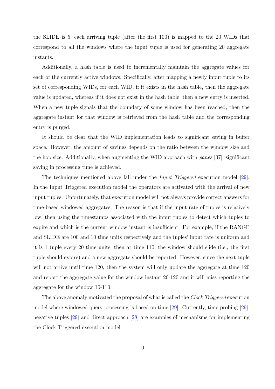the SLIDE is 5, each arriving tuple (after the first 100) is mapped to the 20 WIDs that correspond to all the windows where the input tuple is used for generating 20 aggregate instants.

Additionally, a hash table is used to incrementally maintain the aggregate values for each of the currently active windows. Specifically, after mapping a newly input tuple to its set of corresponding WIDs, for each WID, if it exists in the hash table, then the aggregate value is updated, whereas if it does not exist in the hash table, then a new entry is inserted. When a new tuple signals that the boundary of some window has been reached, then the aggregate instant for that window is retrieved from the hash table and the corresponding entry is purged.

It should be clear that the WID implementation leads to significant saving in buffer space. However, the amount of savings depends on the ratio between the window size and the hop size. Additionally, when augmenting the WID approach with panes [37], significant saving in processing time is achieved.

The techniques mentioned above fall under the Input Triggered execut[ion](#page-111-0) model [29]. In the Input Triggered execution model the operators are activated with the arrival of new input tuples. Unfortunately, that execution model will not always provide correct answer[s fo](#page-110-0)r time-based windowed aggregates. The reason is that if the input rate of tuples is relatively low, then using the timestamps associated with the input tuples to detect which tuples to expire and which is the current window instant is insufficient. For example, if the RANGE and SLIDE are 100 and 10 time units respectively and the tuples' input rate is uniform and it is 1 tuple every 20 time units, then at time 110, the window should slide (i.e., the first tuple should expire) and a new aggregate should be reported. However, since the next tuple will not arrive until time 120, then the system will only update the aggregate at time 120 and report the aggregate value for the window instant 20-120 and it will miss reporting the aggregate for the window 10-110.

The above anomaly motivated the proposal of what is called the *Clock Triggered* execution model where windowed query processing is based on time [29]. Currently, time probing [29], negative tuples [29] and direct approach [28] are examples of mechanisms for implementing the Clock Triggered execution model.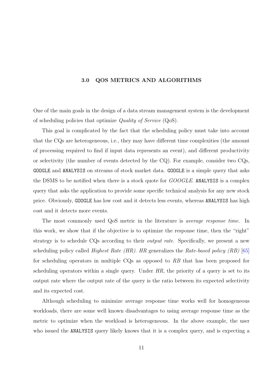#### 3.0 QOS METRICS AND ALGORITHMS

<span id="page-23-0"></span>One of the main goals in the design of a data stream management system is the development of scheduling policies that optimize Quality of Service (QoS).

This goal is complicated by the fact that the scheduling policy must take into account that the CQs are heterogeneous, i.e., they may have different time complexities (the amount of processing required to find if input data represents an event), and different productivity or selectivity (the number of events detected by the CQ). For example, consider two CQs, GOOGLE and ANALYSIS on streams of stock market data. GOOGLE is a simple query that asks the DSMS to be notified when there is a stock quote for *GOOGLE*. ANALYSIS is a complex query that asks the application to provide some specific technical analysis for any new stock price. Obviously, GOOGLE has low cost and it detects less events, whereas ANALYSIS has high cost and it detects more events.

The most commonly used QoS metric in the literature is average response time. In this work, we show that if the objective is to optimize the response time, then the "right" strategy is to schedule CQs according to their output rate. Specifically, we present a new scheduling policy called *Highest Rate (HR). HR* generalizes the *Rate-based policy (RB)* [65] for scheduling operators in multiple CQs as opposed to RB that has been proposed for scheduling operators within a single query. Under  $HR$ , the priority of a query is set to [its](#page-113-0) output rate where the output rate of the query is the ratio between its expected selectivity and its expected cost.

Although scheduling to minimize average response time works well for homogeneous workloads, there are some well known disadvantages to using average response time as the metric to optimize when the workload is heterogeneous. In the above example, the user who issued the ANALYSIS query likely knows that it is a complex query, and is expecting a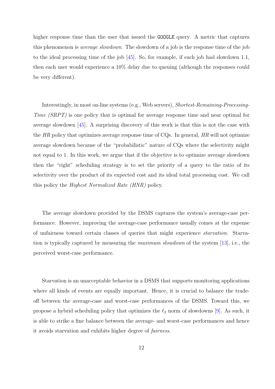higher response time than the user that issued the **GOOGLE** query. A metric that captures this phenomenon is average slowdown. The slowdown of a job is the response time of the job to the ideal processing time of the job [45]. So, for example, if each job had slowdown 1.1, then each user would experience a 10% delay due to queuing (although the responses could be very different).

Interestingly, in most on-line systems (e.g., Web servers), Shortest-Remaining-Processing-Time (SRPT) is one policy that is optimal for average response time and near optimal for average slowdown [45]. A surprising discovery of this work is that this is not the case with the  $HR$  policy that optimizes average response time of CQs. In general,  $HR$  will not optimize average slowdown [bec](#page-111-0)ause of the "probabilistic" nature of CQs where the selectivity might not equal to 1. In this work, we argue that if the objective is to optimize average slowdown then the "right" scheduling strategy is to set the priority of a query to the ratio of its selectivity over the product of its expected cost and its ideal total processing cost. We call this policy the Highest Normalized Rate (HNR) policy.

The average slowdown provided by the DSMS captures the system's average-case performance. However, improving the average-case performance usually comes at the expense of unfairness toward certain classes of queries that might experience starvation. Starvation is typically captured by measuring the maximum slowdown of the system [13], i.e., the perceived worst-case performance.

Starvation is an unacceptable behavior in a DSMS that supports monitoring applications where all kinds of events are equally important. Hence, it is crucial to balance the tradeoff between the average-case and worst-case performances of the DSMS. Toward this, we propose a hybrid scheduling policy that optimizes the  $\ell_2$  norm of slowdowns [9]. As such, it is able to strike a fine balance between the average- and worst-case performances and hence it avoids starvation and exhibits higher degree of fairness.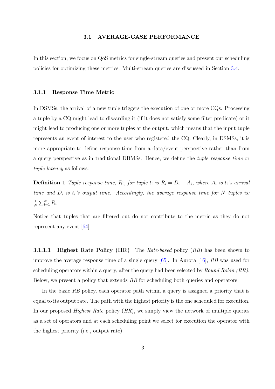#### 3.1 AVERAGE-CASE PERFORMANCE

<span id="page-25-0"></span>In this section, we focus on QoS metrics for single-stream queries and present our scheduling policies for optimizing these metrics. Multi-stream queries are discussed in Section 3.4.

#### 3.1.1 Response Time Metric

In DSMSs, the arrival of a new tuple triggers the execution of one or more CQs. Processing a tuple by a CQ might lead to discarding it (if it does not satisfy some filter predicate) or it might lead to producing one or more tuples at the output, which means that the input tuple represents an event of interest to the user who registered the CQ. Clearly, in DSMSs, it is more appropriate to define response time from a data/event perspective rather than from a query perspective as in traditional DBMSs. Hence, we define the tuple response time or tuple latency as follows:

**Definition 1** Tuple response time,  $R_i$ , for tuple  $t_i$  is  $R_i = D_i - A_i$ , where  $A_i$  is  $t_i$ 's arrival time and  $D_i$  is  $t_i$ 's output time. Accordingly, the average response time for N tuples is: 1 N  $\sum_{i=1}^N R_i$ .

Notice that tuples that are filtered out do not contribute to the metric as they do not represent any event [64].

**3.1.1.1 Highest [Rat](#page-113-0)e Policy (HR)** The *Rate-based* policy  $(RB)$  has been shown to improve the average response time of a single query  $[65]$ . In Aurora [16], RB was used for scheduling operators within a query, after the query had been selected by *Round Robin (RR)*. Below, we present a policy that extends RB for sched[ulin](#page-113-0)g both queri[es a](#page-109-0)nd operators.

In the basic RB policy, each operator path within a query is assigned a priority that is equal to its output rate. The path with the highest priority is the one scheduled for execution. In our proposed *Highest Rate* policy  $(HR)$ , we simply view the network of multiple queries as a set of operators and at each scheduling point we select for execution the operator with the highest priority (i.e., output rate).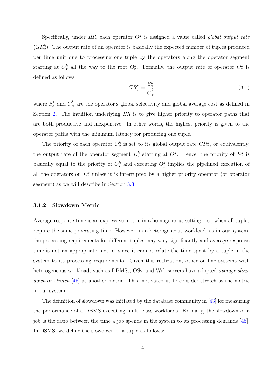<span id="page-26-0"></span>Specifically, under HR, each operator  $O_x^k$  is assigned a value called global output rate  $(GR_x^k)$ . The output rate of an operator is basically the expected number of tuples produced per time unit due to processing one tuple by the operators along the operator segment starting at  $O_x^k$  all the way to the root  $O_r^k$ . Formally, the output rate of operator  $O_x^k$  is defined as follows:

$$
GR_x^k = \frac{S_x^k}{\overline{C}_x^k} \tag{3.1}
$$

where  $S_x^k$  and  $\overline{C}_x^k$  $\int_{x}^{\infty}$  are the operator's global selectivity and global average cost as defined in Section 2. The intuition underlying HR is to give higher priority to operator paths that are both productive and inexpensive. In other words, the highest priority is given to the operato[r p](#page-16-0)aths with the minimum latency for producing one tuple.

The priority of each operator  $O_x^k$  is set to its global output rate  $GR_x^k$ , or equivalently, the output rate of the operator segment  $E_x^k$  starting at  $O_x^k$ . Hence, the priority of  $E_x^k$  is basically equal to the priority of  $O_x^k$  and executing  $O_x^k$  implies the pipelined execution of all the operators on  $E_x^k$  unless it is interrupted by a higher priority operator (or operator segment) as we will describe in Section 3.3.

#### 3.1.2 Slowdown Metric

Average response time is an expressive metric in a homogeneous setting, i.e., when all tuples require the same processing time. However, in a heterogeneous workload, as in our system, the processing requirements for different tuples may vary significantly and average response time is not an appropriate metric, since it cannot relate the time spent by a tuple in the system to its processing requirements. Given this realization, other on-line systems with heterogeneous workloads such as DBMSs, OSs, and Web servers have adopted *average slow*down or stretch [45] as another metric. This motivated us to consider stretch as the metric in our system.

The definitio[n of](#page-111-0) slowdown was initiated by the database community in [43] for measuring the performance of a DBMS executing multi-class workloads. Formally, the slowdown of a job is the ratio between the time a job spends in the system to its process[ing](#page-111-0) demands [45]. In DSMS, we define the slowdown of a tuple as follows: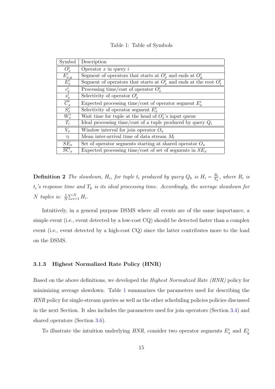Table 1: Table of Symbols

<span id="page-27-0"></span>

| Symbol                           | Description                                                              |  |
|----------------------------------|--------------------------------------------------------------------------|--|
| $O_x^i$                          | Operator $x$ in query $i$                                                |  |
| $\frac{E^i_{x,y}}{E^i_x}$        | Segment of operators that starts at $O_r^i$ and ends at $O_u^i$          |  |
|                                  | Segment of operators that starts at $O_r^i$ and ends at the root $O_r^i$ |  |
| $\frac{c_x^i}{s_x^i}$            | Processing time/cost of operator $O_r^i$                                 |  |
|                                  | Selectivity of operator $O_r^i$                                          |  |
| $\frac{\overline{C}^i_x}{S^i_x}$ | Expected processing time/cost of operator segment $E_r^i$                |  |
|                                  | Selectivity of operator segment $E_r^i$                                  |  |
| $W_x^i$                          | Wait time for tuple at the head of $O_r^i$ 's input queue                |  |
| $T_i$                            | Ideal processing time/cost of a tuple produced by query $Q_i$            |  |
| $V_x$                            | Window interval for join operator $O_x$                                  |  |
| $\tau_l$                         | Mean inter-arrival time of data stream $M_l$                             |  |
| $SE_x$                           | Set of operator segments starting at shared operator $O_x$               |  |
| $\overline{SC}_x$                | Expected processing time/cost of set of segments in $SE_x$               |  |

**Definition 2** The slowdown,  $H_i$ , for tuple  $t_i$  produced by query  $Q_k$  is  $H_i = \frac{R_i}{T_i}$  $\frac{R_i}{T_k}$ , where  $R_i$  is  $t_i$ 's response time and  $T_k$  is its ideal processing time. Accordingly, the average slowdown for N tuples is:  $\frac{1}{N}$  $\sum_{i=1}^N H_i$ .

Intuitively, in a general purpose DSMS where all events are of the same importance, a simple event (i.e., event detected by a low-cost CQ) should be detected faster than a complex event (i.e., event detected by a high-cost CQ) since the latter contributes more to the load on the DSMS.

#### 3.1.3 Highest Normalized Rate Policy (HNR)

Based on the above definitions, we developed the Highest Normalized Rate (HNR) policy for minimizing average slowdown. Table 1 summarizes the parameters used for describing the HNR policy for single-stream queries as well as the other scheduling policies policies discussed in the next Section. It also includes the parameters used for join operators (Section 3.4) and shared operators (Section 3.6).

To illustrate the intuition underlying  $HNR$ , consider two operator segments  $E_x^i$  [an](#page-43-0)d  $E_y^j$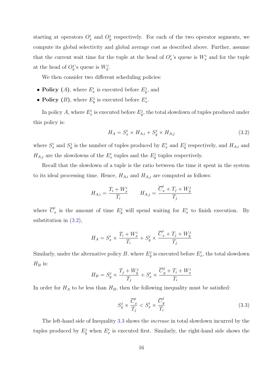starting at operators  $O_x^i$  and  $O_y^j$  respectively. For each of the two operator segments, we compute its global selectivity and global average cost as described above. Further, assume that the current wait time for the tuple at the head of  $O_x^i$ 's queue is  $W_x^i$  and for the tuple at the head of  $O_y^j$ 's queue is  $W_y^j$ .

We then consider two different scheduling policies:

- Policy (A), where  $E_x^i$  is executed before  $E_y^j$ , and
- Policy (B), where  $E_y^j$  is executed before  $E_x^i$ .

In policy A, where  $E_x^i$  is executed before  $E_y^j$ , the total slowdown of tuples produced under this policy is:

$$
H_A = S_x^i \times H_{A,i} + S_y^j \times H_{A,j} \tag{3.2}
$$

where  $S_x^i$  and  $S_y^j$  is the number of tuples produced by  $E_x^i$  and  $E_y^j$  respectively, and  $H_{A,i}$  and  $H_{A,j}$  are the slowdowns of the  $E_x^i$  tuples and the  $E_y^j$  tuples respectively.

Recall that the slowdown of a tuple is the ratio between the time it spent in the system to its ideal processing time. Hence,  $H_{A,i}$  and  $H_{A,j}$  are computed as follows:

$$
H_{A,i} = \frac{T_i + W_x^i}{T_i} \qquad H_{A,j} = \frac{\overline{C}_x^i + T_j + W_y^j}{T_j}
$$

where  $\overline{C}_i^i$ <sup>t</sup><sub>x</sub> is the amount of time  $E_y^j$  will spend waiting for  $E_x^i$  to finish execution. By substitution in  $(3.2)$ ,

$$
H_A = S_x^i \times \frac{T_i + W_x^i}{T_i} + S_y^j \times \frac{\overline{C}_x^i + T_j + W_y^j}{T_j}
$$

Similarly, under the alternative policy B, where  $E_y^j$  is executed before  $E_x^i$ , the total slowdown  $H_B$  is: ..

$$
H_B = S_y^j \times \frac{T_j + W_y^j}{T_j} + S_x^i \times \frac{\overline{C}_y^j + T_i + W_x^i}{T_i}
$$

In order for  $H_A$  to be less than  $H_B$ , then the following inequality must be satisfied:

$$
S_y^j \times \frac{\overline{C}_x^i}{T_j} < S_x^i \times \frac{\overline{C}_y^j}{T_i} \tag{3.3}
$$

The left-hand side of Inequality 3.3 shows the *increase* in total slowdown incurred by the tuples produced by  $E_y^j$  when  $E_x^i$  is executed first. Similarly, the right-hand side shows the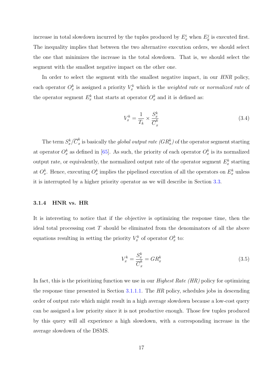<span id="page-29-0"></span>increase in total slowdown incurred by the tuples produced by  $E_x^i$  when  $E_y^j$  is executed first. The inequality implies that between the two alternative execution orders, we should select the one that minimizes the increase in the total slowdown. That is, we should select the segment with the smallest negative impact on the other one.

In order to select the segment with the smallest negative impact, in our HNR policy, each operator  $O_x^k$  is assigned a priority  $V_x^k$  which is the *weighted rate* or normalized rate of the operator segment  $E_x^k$  that starts at operator  $O_x^k$  and it is defined as:

$$
V_x^k = \frac{1}{T_k} \times \frac{S_x^k}{\overline{C}_x^k} \tag{3.4}
$$

The term  $S_x^k/\overline{C}_x^k$  $\frac{k}{x}$  is basically the *global output rate (GR*<sup>k</sup><sub>x</sub>) of the operator segment starting at operator  $O_x^k$  as defined in [65]. As such, the priority of each operator  $O_x^k$  is its normalized output rate, or equivalently, the normalized output rate of the operator segment  $E_x^k$  starting at  $O_x^k$ . Hence, executing  $O_x^k$  i[mp](#page-113-0)lies the pipelined execution of all the operators on  $E_x^k$  unless it is interrupted by a higher priority operator as we will describe in Section 3.3.

#### 3.1.4 HNR vs. HR

It is interesting to notice that if the objective is optimizing the response time, then the ideal total processing cost T should be eliminated from the denominators of all the above equations resulting in setting the priority  $V_x^k$  of operator  $O_x^k$  to:

$$
V_x^k = \frac{S_x^k}{\overline{C}_x^k} = GR_x^k \tag{3.5}
$$

In fact, this is the prioritizing function we use in our *Highest Rate (HR)* policy for optimizing the response time presented in Section 3.1.1.1. The HR policy, schedules jobs in descending order of output rate which might result in a high average slowdown because a low-cost query can be assigned a low priority since it [is not pr](#page-25-0)oductive enough. Those few tuples produced by this query will all experience a high slowdown, with a corresponding increase in the average slowdown of the DSMS.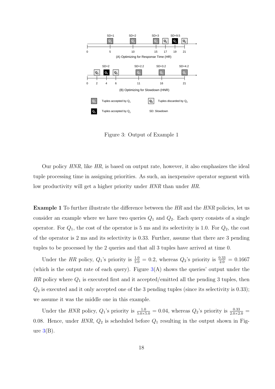<span id="page-30-0"></span>

Figure 3: Output of Example 1

Our policy  $HNR$ , like  $HR$ , is based on output rate, however, it also emphasizes the ideal tuple processing time in assigning priorities. As such, an inexpensive operator segment with low productivity will get a higher priority under HNR than under HR.

**Example 1** To further illustrate the difference between the HR and the HNR policies, let us consider an example where we have two queries  $Q_1$  and  $Q_2$ . Each query consists of a single operator. For  $Q_1$ , the cost of the operator is 5 ms and its selectivity is 1.0. For  $Q_2$ , the cost of the operator is 2 ms and its selectivity is 0.33. Further, assume that there are 3 pending tuples to be processed by the 2 queries and that all 3 tuples have arrived at time 0.

Under the HR policy,  $Q_1$ 's priority is  $\frac{1.0}{5.0} = 0.2$ , whereas  $Q_2$ 's priority is  $\frac{0.33}{2.0} = 0.1667$ (which is the output rate of each query). Figure  $3(A)$  shows the queries' output under the  $HR$  policy where  $Q_1$  is executed first and it accepted/emitted all the pending 3 tuples, then  $Q_2$  is executed and it only accepted one of the 3 pending tuples (since its selectivity is 0.33); we assume it was the middle one in this example.

Under the HNR policy,  $Q_1$ 's priority is  $\frac{1.0}{5.0 \times 5.0} = 0.04$ , whereas  $Q_2$ 's priority is  $\frac{0.33}{2.0 \times 2.0} =$ 0.08. Hence, under  $HNR$ ,  $Q_2$  is scheduled before  $Q_1$  resulting in the output shown in Figure  $3(B)$ .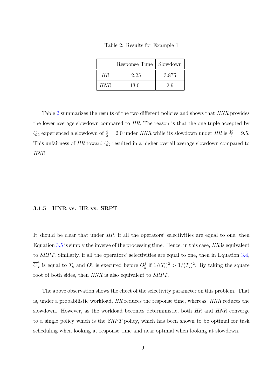Table 2: Results for Example 1

|      | Response Time   Slowdown |       |
|------|--------------------------|-------|
| HR.  | 12.25                    | 3.875 |
| HNR. | 13.0                     | 2.9   |

<span id="page-31-0"></span>Table 2 summarizes the results of the two different policies and shows that HNR provides the lower average slowdown compared to HR. The reason is that the one tuple accepted by  $Q_2$  experienced a slowdown of  $\frac{4}{2} = 2.0$  under HNR while its slowdown under HR is  $\frac{19}{2} = 9.5$ . This unfairness of  $HR$  toward  $Q_2$  resulted in a higher overall average slowdown compared to HNR.

#### 3.1.5 HNR vs. HR vs. SRPT

It should be clear that under HR, if all the operators' selectivities are equal to one, then Equation 3.5 is simply the inverse of the processing time. Hence, in this case,  $HR$  is equivalent to SRPT. Similarly, if all the operators' selectivities are equal to one, then in Equation 3.4,  $\overline{C}^k_x$  $\frac{k}{x}$  is eq[ual t](#page-29-0)o  $T_k$  and  $O_x^i$  is executed before  $O_y^j$  if  $1/(T_i)^2 > 1/(T_j)^2$ . By taking the square root of both sides, then  $HNR$  is also equivalent to  $SRPT$ .

The above observation shows the effect of the selectivity parameter on this problem. That is, under a probabilistic workload, HR reduces the response time, whereas, HNR reduces the slowdown. However, as the workload becomes deterministic, both HR and HNR converge to a single policy which is the SRPT policy, which has been shown to be optimal for task scheduling when looking at response time and near optimal when looking at slowdown.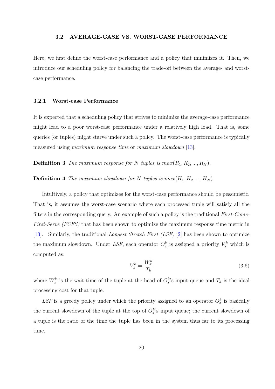#### 3.2 AVERAGE-CASE VS. WORST-CASE PERFORMANCE

<span id="page-32-0"></span>Here, we first define the worst-case performance and a policy that minimizes it. Then, we introduce our scheduling policy for balancing the trade-off between the average- and worstcase performance.

#### 3.2.1 Worst-case Performance

It is expected that a scheduling policy that strives to minimize the average-case performance might lead to a poor worst-case performance under a relatively high load. That is, some queries (or tuples) might starve under such a policy. The worst-case performance is typically measured using *maximum response time* or *maximum slowdown* [13].

**Definition 3** The maximum response for N tuples is  $max(R_1, R_2, ..., R_N)$ .

**Definition 4** The maximum slowdown for N tuples is  $max(H_1, H_2, ..., H_N)$ .

Intuitively, a policy that optimizes for the worst-case performance should be pessimistic. That is, it assumes the worst-case scenario where each processed tuple will satisfy all the filters in the corresponding query. An example of such a policy is the traditional First-Come-First-Serve (FCFS) that has been shown to optimize the maximum response time metric in [13]. Similarly, the traditional Longest Stretch First (LSF) [2] has been shown to optimize the maximum slowdown. Under LSF, each operator  $O_x^k$  is assigned a priority  $V_x^k$  which is [com](#page-109-0)puted as:

$$
V_x^k = \frac{W_x^k}{T_k} \tag{3.6}
$$

where  $W_x^k$  is the wait time of the tuple at the head of  $O_x^k$ 's input queue and  $T_k$  is the ideal processing cost for that tuple.

LSF is a greedy policy under which the priority assigned to an operator  $O_x^k$  is basically the current slowdown of the tuple at the top of  $O_x^k$ 's input queue; the current slowdown of a tuple is the ratio of the time the tuple has been in the system thus far to its processing time.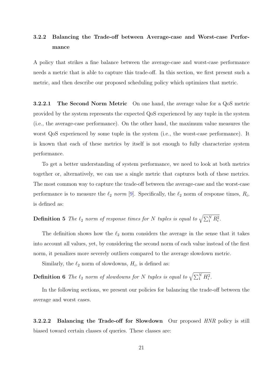## <span id="page-33-0"></span>3.2.2 Balancing the Trade-off between Average-case and Worst-case Performance

A policy that strikes a fine balance between the average-case and worst-case performance needs a metric that is able to capture this trade-off. In this section, we first present such a metric, and then describe our proposed scheduling policy which optimizes that metric.

3.2.2.1 The Second Norm Metric On one hand, the average value for a QoS metric provided by the system represents the expected QoS experienced by any tuple in the system (i.e., the average-case performance). On the other hand, the maximum value measures the worst QoS experienced by some tuple in the system (i.e., the worst-case performance). It is known that each of these metrics by itself is not enough to fully characterize system performance.

To get a better understanding of system performance, we need to look at both metrics together or, alternatively, we can use a single metric that captures both of these metrics. The most common way to capture the trade-off between the average-case and the worst-case performance is to measure the  $\ell_2$  norm [9]. Specifically, the  $\ell_2$  norm of response times,  $R_i$ , is defined as:

**Definition 5** The  $\ell_2$  norm of response t[im](#page-108-0)es for N tuples is equal to  $\sqrt{\sum_{1}^{N} R_i^2}$ .

The definition shows how the  $\ell_2$  norm considers the average in the sense that it takes into account all values, yet, by considering the second norm of each value instead of the first norm, it penalizes more severely outliers compared to the average slowdown metric.

Similarly, the  $\ell_2$  norm of slowdowns,  $H_i$ , is defined as:

**Definition 6** The  $\ell_2$  norm of slowdowns for N tuples is equal to  $\sqrt{\sum_{1}^{N} H_i^2}$ .

In the following sections, we present our policies for balancing the trade-off between the average and worst cases.

**3.2.2.2** Balancing the Trade-off for Slowdown Our proposed HNR policy is still biased toward certain classes of queries. These classes are: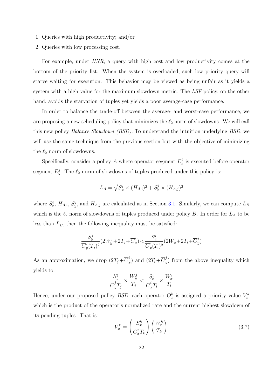- 1. Queries with high productivity; and/or
- 2. Queries with low processing cost.

For example, under HNR, a query with high cost and low productivity comes at the bottom of the priority list. When the system is overloaded, such low priority query will starve waiting for execution. This behavior may be viewed as being unfair as it yields a system with a high value for the maximum slowdown metric. The LSF policy, on the other hand, avoids the starvation of tuples yet yields a poor average-case performance.

In order to balance the trade-off between the average- and worst-case performance, we are proposing a new scheduling policy that minimizes the  $\ell_2$  norm of slowdowns. We will call this new policy *Balance Slowdown (BSD)*. To understand the intuition underlying *BSD*, we will use the same technique from the previous section but with the objective of minimizing the  $\ell_2$  norm of slowdowns.

Specifically, consider a policy A where operator segment  $E_x^i$  is executed before operator segment  $E_y^j$ . The  $\ell_2$  norm of slowdowns of tuples produced under this policy is:

$$
L_A = \sqrt{S_x^i \times (H_{A,i})^2 + S_y^j \times (H_{A,j})^2}
$$

where  $S_x^i$ ,  $H_{A,i}$ ,  $S_y^j$ , and  $H_{A,j}$  are calculated as in Section 3.1. Similarly, we can compute  $L_B$ which is the  $\ell_2$  norm of slowdowns of tuples produced under policy B. In order for  $L_A$  to be less than  $L_B$ , then the following inequality must be satis[fied:](#page-25-0)

$$
\frac{S_y^j}{\overline{C}_y^j(T_j)^2}(2W_y^j+2T_j+\overline{C}_x^i)<\frac{S_x^i}{\overline{C}_x^i(T_i)^2}(2W_x^i+2T_i+\overline{C}_y^j)
$$

As an approximation, we drop  $(2T_j + \overline{C}_i^i)$  $\bar{x}_x^i$ ) and  $(2T_i + \overline{C}_y^j)$  $y(y)$  from the above inequality which yields to:

$$
\frac{S_y^j}{\overline{C}_y^j T_j} \times \frac{W_y^j}{T_j} < \frac{S_x^i}{\overline{C}_x^i T_i} \times \frac{W_x^i}{T_i}
$$

Hence, under our proposed policy *BSD*, each operator  $O_x^k$  is assigned a priority value  $V_x^k$ which is the product of the operator's normalized rate and the current highest slowdown of its pending tuples. That is:  $\overline{\phantom{a}}$  $\mathbf{r}$ 

$$
V_x^k = \left(\frac{S_x^k}{\overline{C}_x^k T_k}\right) \left(\frac{W_x^k}{T_k}\right) \tag{3.7}
$$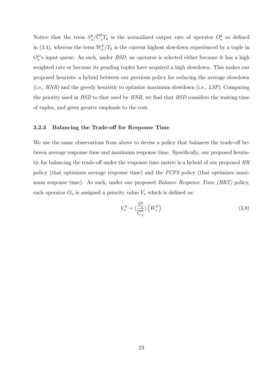Notice that the term  $S_x^k/\overline{C}_x^k T_k$  is the normalized output rate of operator  $O_x^k$  as defined in (3.4), whereas the term  $W_x^k/T_k$  is the current highest slowdown experienced by a tuple in  $O_x^k$ 's input queue. As such, under *BSD*, an operator is selected either because it has a high wei[ghte](#page-29-0)d rate or because its pending tuples have acquired a high slowdown. This makes our proposed heuristic a hybrid between our previous policy for reducing the average slowdown (i.e.,  $HNR$ ) and the greedy heuristic to optimize maximum slowdown (i.e.,  $LSF$ ). Comparing the priority used in BSD to that used by HNR, we find that BSD considers the waiting time of tuples, and gives greater emphasis to the cost.

#### 3.2.3 Balancing the Trade-off for Response Time

We use the same observations from above to devise a policy that balances the trade-off between average response time and maximum response time. Specifically, our proposed heuristic for balancing the trade-off under the response time metric is a hybrid of our proposed HR policy (that optimizes average response time) and the FCFS policy (that optimizes maximum response time). As such, under our proposed Balance Response Time (BRT) policy, each operator  $O_x$  is assigned a priority value  $V_x$  which is defined as:

$$
V_x^k = \left(\frac{S_x^k}{\overline{C}_x^k}\right) \left(W_x^k\right) \tag{3.8}
$$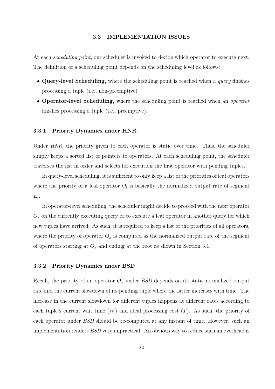<span id="page-36-0"></span>At each *scheduling point*, our scheduler is invoked to decide which operator to execute next. The definition of a scheduling point depends on the scheduling level as follows:

- Query-level Scheduling, where the scheduling point is reached when a *query* finishes processing a tuple (i.e., non-preemptive)
- Operator-level Scheduling, where the scheduling point is reached when an *operator* finishes processing a tuple (i.e., preemptive).

## 3.3.1 Priority Dynamics under HNR

Under *HNR*, the priority given to each operator is static over time. Thus, the scheduler simply keeps a sorted list of pointers to operators. At each scheduling point, the scheduler traverses the list in order and selects for execution the first operator with pending tuples.

In query-level scheduling, it is sufficient to only keep a list of the priorities of leaf operators where the priority of a leaf operator  $O<sub>l</sub>$  is basically the normalized output rate of segment  $E_l$ .

In operator-level scheduling, the scheduler might decide to proceed with the next operator  $O_x$  on the currently executing query or to execute a leaf operator in another query for which new tuples have arrived. As such, it is required to keep a list of the priorities of all operators, where the priority of operator  $O_x$  is computed as the normalized output rate of the segment of operators starting at  $O_x$  and ending at the root as shown in Section 3.1.

#### 3.3.2 Priority Dynamics under BSD

Recall, the priority of an operator  $O_x$  under BSD depends on its static normalized output rate and the current slowdown of its pending tuple where the latter increases with time. The increase in the current slowdown for different tuples happens at different rates according to each tuple's current wait time  $(W)$  and ideal processing cost  $(T)$ . As such, the priority of each operator under BSD should be re-computed at any instant of time. However, such an implementation renders BSD very impractical. An obvious way to reduce such an overhead is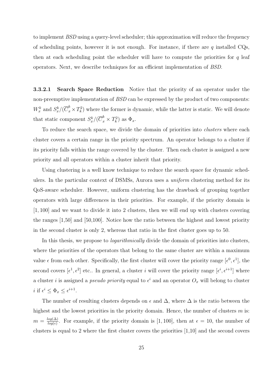to implement BSD using a query-level scheduler; this approximation will reduce the frequency of scheduling points, however it is not enough. For instance, if there are  $q$  installed CQs, then at each scheduling point the scheduler will have to compute the priorities for  $q$  leaf operators. Next, we describe techniques for an efficient implementation of BSD.

3.3.2.1 Search Space Reduction Notice that the priority of an operator under the non-preemptive implementation of BSD can be expressed by the product of two components:  $W_x^k$  and  $S_x^k/(\overline{C}_x^k \times T_k^2)$  where the former is dynamic, while the latter is static. We will denote that static component  $S_x^k/(\overline{C}_x^k \times T_k^2)$  as  $\Phi_x$ .

To reduce the search space, we divide the domain of priorities into *clusters* where each cluster covers a certain range in the priority spectrum. An operator belongs to a cluster if its priority falls within the range covered by the cluster. Then each cluster is assigned a new priority and all operators within a cluster inherit that priority.

Using clustering is a well know technique to reduce the search space for dynamic schedulers. In the particular context of DSMSs, Aurora uses a uniform clustering method for its QoS-aware scheduler. However, uniform clustering has the drawback of grouping together operators with large differences in their priorities. For example, if the priority domain is [1, 100] and we want to divide it into 2 clusters, then we will end up with clusters covering the ranges [1,50] and [50,100]. Notice how the ratio between the highest and lowest priority in the second cluster is only 2, whereas that ratio in the first cluster goes up to 50.

In this thesis, we propose to *logarithmically* divide the domain of priorities into clusters, where the priorities of the operators that belong to the same cluster are within a maximum value  $\epsilon$  from each other. Specifically, the first cluster will cover the priority range  $[\epsilon^0, \epsilon^1]$ , the second covers  $[\epsilon^1, \epsilon^2]$  etc.. In general, a cluster i will cover the priority range  $[\epsilon^i, \epsilon^{i+1}]$  where a cluster *i* is assigned a *pseudo priority* equal to  $\epsilon^i$  and an operator  $O_x$  will belong to cluster *i* if  $\epsilon^i \leq \Phi_x \leq \epsilon^{i+1}$ .

The number of resulting clusters depends on  $\epsilon$  and  $\Delta$ , where  $\Delta$  is the ratio between the highest and the lowest priorities in the priority domain. Hence, the number of clusters  $m$  is:  $m = \frac{log(\Delta)}{log(\epsilon)}$  $\frac{\log(\Delta)}{\log(\epsilon)}$ . For example, if the priority domain is [1, 100], then at  $\epsilon = 10$ , the number of clusters is equal to 2 where the first cluster covers the priorities [1,10] and the second covers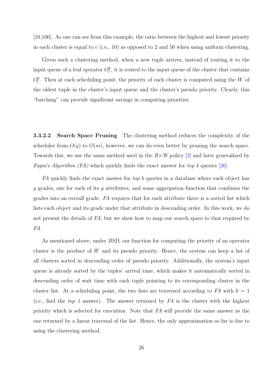[10,100]. As one can see from this example, the ratio between the highest and lowest priority in each cluster is equal to  $\epsilon$  (i.e., 10) as opposed to 2 and 50 when using uniform clustering.

Given such a clustering method, when a new tuple arrives, instead of routing it to the input queue of a leaf operator  $O_l^k$ , it is routed to the input queue of the cluster that contains  $O_t^k$ . Then at each scheduling point, the priority of each cluster is computed using the W of the oldest tuple in the cluster's input queue and the cluster's pseudo priority. Clearly, this "batching" can provide significant savings in computing priorities.

3.3.2.2 Search Space Pruning The clustering method reduces the complexity of the scheduler from  $O(q)$  to  $O(m)$ , however, we can do even better by pruning the search space. Towards this, we use the same method used in the  $R \times W$  policy [3] and later generalized by *Fagin's Algorithm (FA)* which quickly finds the exact answer for top k queries [26].

FA quickly finds the exact answer for top k queries in a data[ba](#page-108-0)se where each object has g grades, one for each of its g attributes, and some aggregation function that [com](#page-110-0)bines the grades into an overall grade. FA requires that for each attribute there is a sorted list which lists each object and its grade under that attribute in descending order. In this work, we do not present the details of FA, but we show how to map our search space to that required by FA.

As mentioned above, under BSD, our function for computing the priority of an operator cluster is the product of W and its pseudo priority. Hence, the system can keep a list of all clusters sorted in descending order of pseudo priority. Additionally, the system's input queue is already sorted by the tuples' arrival time, which makes it automatically sorted in descending order of wait time with each tuple pointing to its corresponding cluster in the cluster list. At a scheduling point, the two lists are traversed according to FA with  $k = 1$ (i.e., find the top 1 answer). The answer returned by  $FA$  is the cluster with the highest priority which is selected for execution. Note that FA will provide the same answer as the one returned by a linear traversal of the list. Hence, the only approximation so far is due to using the clustering method.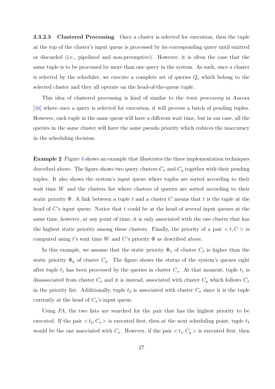3.3.2.3 Clustered Processing Once a cluster is selected for execution, then the tuple at the top of the cluster's input queue is processed by its corresponding query until emitted or discarded (i.e., pipelined and non-preemptive). However, it is often the case that the same tuple is to be processed by more than one query in the system. As such, once a cluster is selected by the scheduler, we execute a complete set of queries  $Q_c$  which belong to the selected cluster and they all operate on the head-of-the-queue tuple.

This idea of clustered processing is kind of similar to the train processing in Aurora [16] where once a query is selected for execution, it will process a batch of pending tuples. However, each tuple in the same queue will have a different wait time, but in our case, all the [que](#page-109-0)ries in the same cluster will have the same pseudo priority which reduces the inaccuracy in the scheduling decision.

Example 2 Figure 4 shows an example that illustrates the three implementation techniques described above. The figure shows two query clusters  $C_x$  and  $C_y$  together with their pending tuples. It also sho[ws](#page-40-0) the system's input queue where tuples are sorted according to their wait time W and the clusters list where clusters of queries are sorted according to their static priority  $\Phi$ . A link between a tuple t and a cluster C means that t is the tuple at the head of  $C$ 's input queue. Notice that t could be at the head of several input queues at the same time, however, at any point of time, it is only associated with the one cluster that has the highest static priority among these clusters. Finally, the priority of a pair  $\langle t, C \rangle$  is computed using t's wait time W and C's priority  $\Phi$  as described above.

In this example, we assume that the static priority  $\Phi_x$  of cluster  $C_x$  is higher than the static priority  $\Phi_y$  of cluster  $C_y$ . The figure shows the status of the system's queues right after tuple  $t_1$  has been processed by the queries in cluster  $C_x$ . At that moment, tuple  $t_1$  is disassociated from cluster  $C_x$  and it is instead, associated with cluster  $C_y$  which follows  $C_x$ in the priority list. Additionally, tuple  $t_2$  is associated with cluster  $C_x$  since it is the tuple currently at the head of  $C_x$ 's input queue.

Using FA, the two lists are searched for the pair that has the highest priority to be executed. If the pair  $\langle t_2, C_x \rangle$  is executed first, then at the next scheduling point, tuple  $t_3$ would be the one associated with  $C_x$ . However, if the pair  $\langle t_1, C_y \rangle$  is executed first, then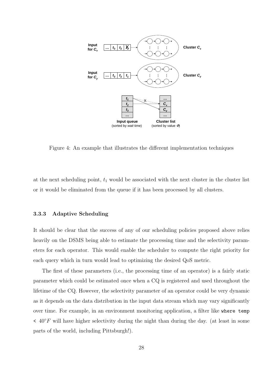<span id="page-40-0"></span>

Figure 4: An example that illustrates the different implementation techniques

at the next scheduling point,  $t_1$  would be associated with the next cluster in the cluster list or it would be eliminated from the queue if it has been processed by all clusters.

# 3.3.3 Adaptive Scheduling

It should be clear that the success of any of our scheduling policies proposed above relies heavily on the DSMS being able to estimate the processing time and the selectivity parameters for each operator. This would enable the scheduler to compute the right priority for each query which in turn would lead to optimizing the desired QoS metric.

The first of these parameters (i.e., the processing time of an operator) is a fairly static parameter which could be estimated once when a CQ is registered and used throughout the lifetime of the CQ. However, the selectivity parameter of an operator could be very dynamic as it depends on the data distribution in the input data stream which may vary significantly over time. For example, in an environment monitoring application, a filter like where temp  $\leq 40^{\circ}$ F will have higher selectivity during the night than during the day. (at least in some parts of the world, including Pittsburgh!).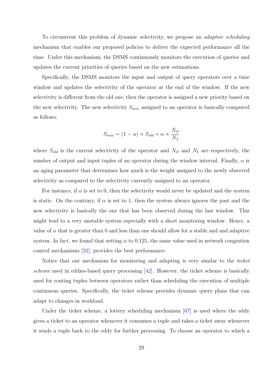To circumvent this problem of dynamic selectivity, we propose an adaptive scheduling mechanism that enables our proposed policies to deliver the expected performance all the time. Under this mechanism, the DSMS continuously monitors the execution of queries and updates the current priorities of queries based on the new estimations.

Specifically, the DSMS monitors the input and output of query operators over a time window and updates the selectivity of the operator at the end of the window. If the new selectivity is different from the old one, then the operator is assigned a new priority based on the new selectivity. The new selectivity  $S_{new}$  assigned to an operator is basically computed as follows:

$$
S_{new} = (1 - \alpha) \times S_{old} + \alpha \times \frac{N_O}{N_I}
$$

where  $S_{old}$  is the current selectivity of the operator and  $N_Q$  and  $N_I$  are respectively, the number of output and input tuples of an operator during the window interval. Finally,  $\alpha$  is an aging parameter that determines how much is the weight assigned to the newly observed selectivity as compared to the selectivity currently assigned to an operator.

For instance, if  $\alpha$  is set to 0, then the selectivity would never be updated and the system is static. On the contrary, if  $\alpha$  is set to 1, then the system always ignores the past and the new selectivity is basically the one that has been observed during the last window. This might lead to a very unstable system especially with a short monitoring window. Hence, a value of  $\alpha$  that is greater than 0 and less than one should allow for a stable and and adaptive system. In fact, we found that setting  $\alpha$  to 0.125, the same value used in network congestion control mechanisms [32], provides the best performance.

Notice that our mechanism for monitoring and adapting is very similar to the ticket scheme used in eddi[es-b](#page-110-0)ased query processing  $[42]$ . However, the ticket scheme is basically used for routing tuples between operators rather than scheduling the execution of multiple continuous queries. Specifically, the ticket sch[eme](#page-111-0) provides dynamic query plans that can adapt to changes in workload.

Under the ticket scheme, a lottery scheduling mechanism [67] is used where the eddy gives a ticket to an operator whenever it consumes a tuple and takes a ticket away whenever it sends a tuple back to the eddy for further processing. To ch[oos](#page-113-0)e an operator to which a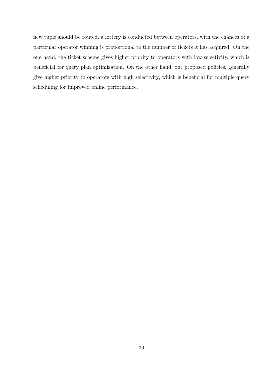new tuple should be routed, a lottery is conducted between operators, with the chances of a particular operator winning is proportional to the number of tickets it has acquired. On the one hand, the ticket scheme gives higher priority to operators with low selectivity, which is beneficial for query plan optimization. On the other hand, our proposed policies, generally give higher priority to operators with high selectivity, which is beneficial for multiple query scheduling for improved online performance.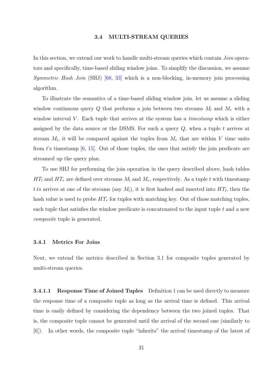### 3.4 MULTI-STREAM QUERIES

In this section, we extend our work to handle multi-stream queries which contain *Join* operators and specifically, time-based sliding window joins. To simplify the discussion, we assume Symmetric Hash Join (SHJ) [68, 33] which is a non-blocking, in-memory join processing algorithm.

To illustrate the semantic[s of](#page-113-0) [a ti](#page-110-0)me-based sliding window join, let us assume a sliding window continuous query Q that performs a join between two streams  $M_l$  and  $M_r$  with a window interval  $V$ . Each tuple that arrives at the system has a *timestamp* which is either assigned by the data source or the DSMS. For such a query  $Q$ , when a tuple t arrives at stream  $M_l$ , it will be compared against the tuples from  $M_r$  that are within V time units from t's timestamp [6, 15]. Out of those tuples, the ones that satisfy the join predicate are streamed up the query plan.

To use SHJ for [per](#page-108-0)[form](#page-109-0)ing the join operation in the query described above, hash tables  $HT_l$  and  $HT_r$  are defined over streams  $M_l$  and  $M_r$ , respectively. As a tuple t with timestamp t.ts arrives at one of the streams (say  $M_l$ ), it is first hashed and inserted into  $HT_l$ , then the hash value is used to probe  $HT_r$  for tuples with matching key. Out of those matching tuples, each tuple that satisfies the window predicate is concatenated to the input tuple t and a new composite tuple is generated.

### 3.4.1 Metrics For Joins

Next, we extend the metrics described in Section 3.1 for composite tuples generated by multi-stream queries.

**3.4.1.1** Response Time of Joined Tuples Definition 1 can be used directly to measure the response time of a composite tuple as long as the arrival time is defined. This arrival time is easily defined by considering the dependency bet[wee](#page-25-0)n the two joined tuples. That is, the composite tuple cannot be generated until the arrival of the second one (similarly to [6]). In other words, the composite tuple "inherits" the arrival timestamp of the latest of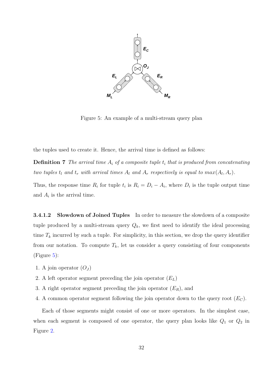<span id="page-44-0"></span>

Figure 5: An example of a multi-stream query plan

the tuples used to create it. Hence, the arrival time is defined as follows:

**Definition 7** The arrival time  $A_i$  of a composite tuple  $t_i$  that is produced from concatenating two tuples  $t_l$  and  $t_r$  with arrival times  $A_l$  and  $A_r$  respectively is equal to  $max(A_l, A_r)$ .

Thus, the response time  $R_i$  for tuple  $t_i$  is  $R_i = D_i - A_i$ , where  $D_i$  is the tuple output time and  $A_i$  is the arrival time.

**3.4.1.2** Slowdown of Joined Tuples In order to measure the slowdown of a composite tuple produced by a multi-stream query  $Q_k$ , we first need to identify the ideal processing time  $T_k$  incurred by such a tuple. For simplicity, in this section, we drop the query identifier from our notation. To compute  $T_k$ , let us consider a query consisting of four components (Figure 5):

- 1. A join operator  $(O_J)$
- 2. A left operator segment preceding the join operator  $(E_L)$
- 3. A right operator segment preceding the join operator  $(E_R)$ , and
- 4. A common operator segment following the join operator down to the query root  $(E_C)$ .

Each of those segments might consist of one or more operators. In the simplest case, when each segment is composed of one operator, the query plan looks like  $Q_1$  or  $Q_2$  in Figure 2.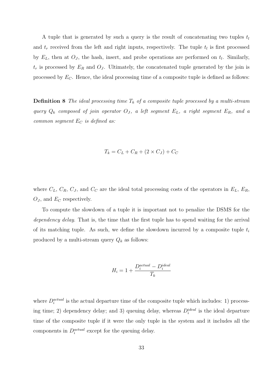<span id="page-45-0"></span>A tuple that is generated by such a query is the result of concatenating two tuples  $t_l$ and  $t_r$  received from the left and right inputs, respectively. The tuple  $t_l$  is first processed by  $E_L$ , then at  $O_J$ , the hash, insert, and probe operations are performed on  $t_l$ . Similarly,  $t_r$  is processed by  $E_R$  and  $O_J$ . Ultimately, the concatenated tuple generated by the join is processed by  $E_C$ . Hence, the ideal processing time of a composite tuple is defined as follows:

**Definition 8** The ideal processing time  $T_k$  of a composite tuple processed by a multi-stream query  $Q_k$  composed of join operator  $O_j$ , a left segment  $E_L$ , a right segment  $E_R$ , and a common segment  $E_C$  is defined as:

$$
T_k = C_L + C_R + (2 \times C_J) + C_C
$$

where  $C_L$ ,  $C_R$ ,  $C_J$ , and  $C_C$  are the ideal total processing costs of the operators in  $E_L$ ,  $E_R$ ,  $O_J$ , and  $E_C$  respectively.

To compute the slowdown of a tuple it is important not to penalize the DSMS for the dependency delay. That is, the time that the first tuple has to spend waiting for the arrival of its matching tuple. As such, we define the slowdown incurred by a composite tuple  $t_i$ produced by a multi-stream query  $Q_k$  as follows:

$$
H_i = 1 + \frac{D_i^{actual} - D_i^{ideal}}{T_k}
$$

where  $D_i^{actual}$  is the actual departure time of the composite tuple which includes: 1) processing time; 2) dependency delay; and 3) queuing delay, whereas  $D_i^{ideal}$  is the ideal departure time of the composite tuple if it were the only tuple in the system and it includes all the components in  $D_i^{actual}$  except for the queuing delay.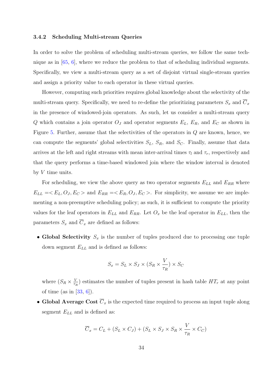### 3.4.2 Scheduling Multi-stream Queries

In order to solve the problem of scheduling multi-stream queries, we follow the same technique as in [65, 6], where we reduce the problem to that of scheduling individual segments. Specifically, we view a multi-stream query as a set of disjoint virtual single-stream queries and assign [a pr](#page-113-0)[ior](#page-108-0)ity value to each operator in these virtual queries.

However, computing such priorities requires global knowledge about the selectivity of the multi-stream query. Specifically, we need to re-define the prioritizing parameters  $S_x$  and  $\overline{C}_x$ in the presence of windowed-join operators. As such, let us consider a multi-stream query Q which contains a join operator  $O_J$  and operator segments  $E_L$ ,  $E_R$ , and  $E_C$  as shown in Figure 5. Further, assume that the selectivities of the operators in Q are known, hence, we can compute the segments' global selectivities  $S_L$ ,  $S_R$ , and  $S_C$ . Finally, assume that data arrives [at](#page-44-0) the left and right streams with mean inter-arrival times  $\tau_l$  and  $\tau_r$ , respectively and that the query performs a time-based windowed join where the window interval is denoted by  $V$  time units.

For scheduling, we view the above query as two operator segments  $E_{LL}$  and  $E_{RR}$  where  $E_{LL} = E_L, O_J, E_C >$  and  $E_{RR} = E_R, O_J, E_C >$ . For simplicity, we assume we are implementing a non-preemptive scheduling policy; as such, it is sufficient to compute the priority values for the leaf operators in  $E_{LL}$  and  $E_{RR}$ . Let  $O_x$  be the leaf operator in  $E_{LL}$ , then the parameters  $S_x$  and  $\overline{C}_x$  are defined as follows:

• Global Selectivity  $S_x$  is the number of tuples produced due to processing one tuple down segment  $E_{LL}$  and is defined as follows:

$$
S_x = S_L \times S_J \times (S_R \times \frac{V}{\tau_R}) \times S_C
$$

where  $(S_R \times \frac{V}{\tau})$  $\frac{V}{\tau_R}$ ) estimates the number of tuples present in hash table  $HT_r$  at any point of time (as in  $[33, 6]$ ).

• Global Average Cost  $\overline{C}_x$  is the expected time required to process an input tuple along segment  $E_{LL}$  [and](#page-110-0) [is](#page-108-0) defined as:

$$
\overline{C}_x = C_L + (S_L \times C_J) + (S_L \times S_J \times S_R \times \frac{V}{\tau_R} \times C_C)
$$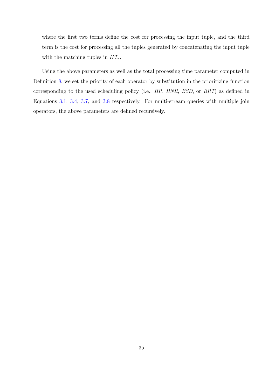where the first two terms define the cost for processing the input tuple, and the third term is the cost for processing all the tuples generated by concatenating the input tuple with the matching tuples in  $HT_r$ .

Using the above parameters as well as the total processing time parameter computed in Definition 8, we set the priority of each operator by substitution in the prioritizing function corresponding to the used scheduling policy (i.e., HR, HNR, BSD, or BRT) as defined in Equations [3](#page-45-0).1, 3.4, 3.7, and 3.8 respectively. For multi-stream queries with multiple join operators, the above parameters are defined recursively.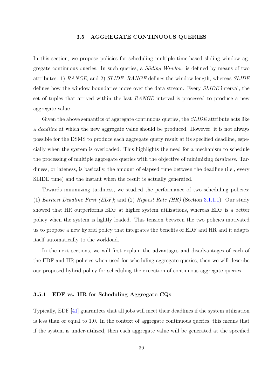## 3.5 AGGREGATE CONTINUOUS QUERIES

In this section, we propose policies for scheduling multiple time-based sliding window aggregate continuous queries. In such queries, a Sliding Window, is defined by means of two attributes: 1) RANGE; and 2) SLIDE. RANGE defines the window length, whereas SLIDE defines how the window boundaries move over the data stream. Every SLIDE interval, the set of tuples that arrived within the last RANGE interval is processed to produce a new aggregate value.

Given the above semantics of aggregate continuous queries, the *SLIDE* attribute acts like a *deadline* at which the new aggregate value should be produced. However, it is not always possible for the DSMS to produce each aggregate query result at its specified deadline, especially when the system is overloaded. This highlights the need for a mechanism to schedule the processing of multiple aggregate queries with the objective of minimizing tardiness. Tardiness, or lateness, is basically, the amount of elapsed time between the deadline (i.e., every SLIDE time) and the instant when the result is actually generated.

Towards minimizing tardiness, we studied the performance of two scheduling policies: (1) Earliest Deadline First (EDF); and (2) Highest Rate (HR) (Section 3.1.1.1). Our study showed that HR outperforms EDF at higher system utilizations, whereas EDF is a better policy when the system is lightly loaded. This tension between the tw[o policie](#page-25-0)s motivated us to propose a new hybrid policy that integrates the benefits of EDF and HR and it adapts itself automatically to the workload.

In the next sections, we will first explain the advantages and disadvantages of each of the EDF and HR policies when used for scheduling aggregate queries, then we will describe our proposed hybrid policy for scheduling the execution of continuous aggregate queries.

# 3.5.1 EDF vs. HR for Scheduling Aggregate CQs

Typically, EDF [41] guarantees that all jobs will meet their deadlines if the system utilization is less than or equal to 1.0. In the context of aggregate continuous queries, this means that if the system is [und](#page-111-0)er-utilized, then each aggregate value will be generated at the specified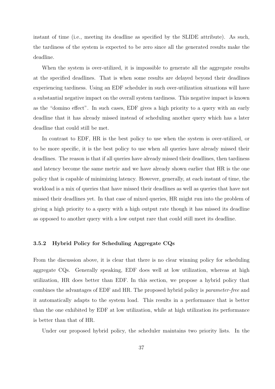instant of time (i.e., meeting its deadline as specified by the SLIDE attribute). As such, the tardiness of the system is expected to be zero since all the generated results make the deadline.

When the system is over-utilized, it is impossible to generate all the aggregate results at the specified deadlines. That is when some results are delayed beyond their deadlines experiencing tardiness. Using an EDF scheduler in such over-utilization situations will have a substantial negative impact on the overall system tardiness. This negative impact is known as the "domino effect". In such cases, EDF gives a high priority to a query with an early deadline that it has already missed instead of scheduling another query which has a later deadline that could still be met.

In contrast to EDF, HR is the best policy to use when the system is over-utilized, or to be more specific, it is the best policy to use when all queries have already missed their deadlines. The reason is that if all queries have already missed their deadlines, then tardiness and latency become the same metric and we have already shown earlier that HR is the one policy that is capable of minimizing latency. However, generally, at each instant of time, the workload is a mix of queries that have missed their deadlines as well as queries that have not missed their deadlines yet. In that case of mixed queries, HR might run into the problem of giving a high priority to a query with a high output rate though it has missed its deadline as opposed to another query with a low output rare that could still meet its deadline.

### 3.5.2 Hybrid Policy for Scheduling Aggregate CQs

From the discussion above, it is clear that there is no clear winning policy for scheduling aggregate CQs. Generally speaking, EDF does well at low utilization, whereas at high utilization, HR does better than EDF. In this section, we propose a hybrid policy that combines the advantages of EDF and HR. The proposed hybrid policy is parameter-free and it automatically adapts to the system load. This results in a performance that is better than the one exhibited by EDF at low utilization, while at high utilization its performance is better than that of HR.

Under our proposed hybrid policy, the scheduler maintains two priority lists. In the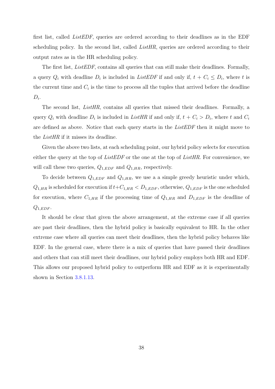first list, called ListEDF, queries are ordered according to their deadlines as in the EDF scheduling policy. In the second list, called *ListHR*, queries are ordered according to their output rates as in the HR scheduling policy.

The first list, *ListEDF*, contains all queries that can still make their deadlines. Formally, a query  $Q_i$  with deadline  $D_i$  is included in ListEDF if and only if,  $t + C_i \leq D_i$ , where t is the current time and  $C_i$  is the time to process all the tuples that arrived before the deadline  $D_i$ .

The second list, ListHR, contains all queries that missed their deadlines. Formally, a query  $Q_i$  with deadline  $D_i$  is included in List HR if and only if,  $t + C_i > D_i$ , where t and  $C_i$ are defined as above. Notice that each query starts in the ListEDF then it might move to the ListHR if it misses its deadline.

Given the above two lists, at each scheduling point, our hybrid policy selects for execution either the query at the top of  $ListEDF$  or the one at the top of ListHR. For convenience, we will call these two queries,  $Q_{1,EDF}$  and  $Q_{1,HR}$ , respectively.

To decide between  $Q_{1,EDF}$  and  $Q_{1,HR}$ , we use a a simple greedy heuristic under which,  $Q_{1,HR}$  is scheduled for execution if  $t+C_{1,HR} < D_{1,EDF}$ , otherwise,  $Q_{1,EDF}$  is the one scheduled for execution, where  $C_{1,HR}$  if the processing time of  $Q_{1,HR}$  and  $D_{1,EDF}$  is the deadline of  $Q_{1,EDF}$ .

It should be clear that given the above arrangement, at the extreme case if all queries are past their deadlines, then the hybrid policy is basically equivalent to HR. In the other extreme case where all queries can meet their deadlines, then the hybrid policy behaves like EDF. In the general case, where there is a mix of queries that have passed their deadlines and others that can still meet their deadlines, our hybrid policy employs both HR and EDF. This allows our proposed hybrid policy to outperform HR and EDF as it is experimentally shown in Section 3.8.1.13.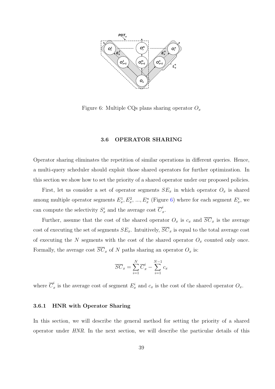<span id="page-51-0"></span>

Figure 6: Multiple CQs plans sharing operator  $O_x$ 

# 3.6 OPERATOR SHARING

Operator sharing eliminates the repetition of similar operations in different queries. Hence, a multi-query scheduler should exploit those shared operators for further optimization. In this section we show how to set the priority of a shared operator under our proposed policies.

First, let us consider a set of operator segments  $SE_x$  in which operator  $O_x$  is shared among multiple operator segments  $E_x^1, E_x^2, ..., E_x^n$  (Figure 6) where for each segment  $E_x^i$ , we can compute the selectivity  $S_x^i$  and the average cost  $\overline{C}_x^i$  $\frac{x}{x}$ .

Further, assume that the cost of the shared operator  $O_x$  is  $c_x$  and  $\overline{SC}_x$  is the average cost of executing the set of segments  $SE_x$ . Intuitively,  $\overline{SC}_x$  is equal to the total average cost of executing the  $N$  segments with the cost of the shared operator  $O_x$  counted only once. Formally, the average cost  $\overline{SC}_x$  of N paths sharing an operator  $O_x$  is:

$$
\overline{SC}_x = \sum_{i=1}^N \overline{C}_x^i - \sum_{i=1}^{N-1} c_x
$$

where  $\overline{C}_i^i$  $\frac{i}{x}$  is the average cost of segment  $E_x^i$  and  $c_x$  is the cost of the shared operator  $O_x$ .

#### 3.6.1 HNR with Operator Sharing

In this section, we will describe the general method for setting the priority of a shared operator under HNR. In the next section, we will describe the particular details of this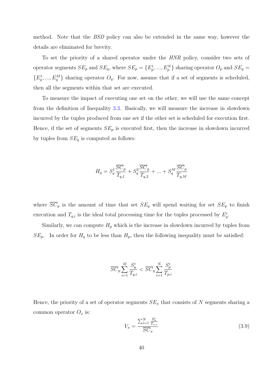<span id="page-52-0"></span>method. Note that the BSD policy can also be extended in the same way, however the details are eliminated for brevity.

To set the priority of a shared operator under the HNR policy, consider two sets of operator segments  $SE_p$  and  $SE_q$ , where  $SE_p = \{E_p^1, ..., E_p^N\}$  sharing operator  $O_p$  and  $SE_q =$  $\{E_q^1, ..., E_q^M\}$  sharing operator  $O_q$ . For now, assume that if a set of segments is scheduled, then all the segments within that set are executed.

To measure the impact of executing one set on the other, we will use the same concept from the definition of Inequality 3.3. Basically, we will measure the increase in slowdown incurred by the tuples produced from one set if the other set is scheduled for execution first. Hence, if the set of segments  $SE_p$  [is](#page-28-0) executed first, then the increase in slowdown incurred by tuples from  $SE_q$  is computed as follows:

$$
H_q = S_q^1 \frac{\overline{SC}_p}{T_{q,1}} + S_q^2 \frac{\overline{SC}_p}{T_{q,2}} + \dots + S_q^M \frac{\overline{SC}_p}{T_{q,M}}
$$

where  $\overline{SC}_p$  is the amount of time that set  $SE_q$  will spend waiting for set  $SE_p$  to finish execution and  $T_{q,i}$  is the ideal total processing time for the tuples processed by  $E_q^i$ .

Similarly, we can compute  $H_p$  which is the increase in slowdown incurred by tuples from  $SE_p$ . In order for  $H_q$  to be less than  $H_p$ , then the following inequality must be satisfied:

$$
\overline{SC}_p \sum_{i=1}^{M} \frac{S_q^i}{T_{q,i}} < \overline{SC}_q \sum_{i=1}^{N} \frac{S_p^i}{T_{p,i}}
$$

Hence, the priority of a set of operator segments  $SE_x$  that consists of N segments sharing a common operator  $O_x$  is:

$$
V_x = \frac{\sum_{i=1}^{N} \frac{S_x^i}{T_{x,i}}}{\overline{SC}_x} \tag{3.9}
$$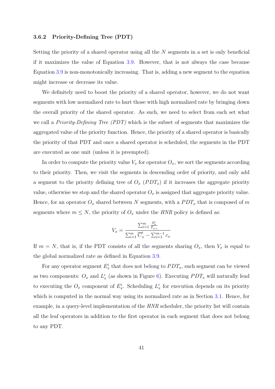## 3.6.2 Priority-Defining Tree (PDT)

Setting the priority of a shared operator using all the N segments in a set is only beneficial if it maximizes the value of Equation 3.9. However, that is not always the case because Equation 3.9 is non-monotonically increasing. That is, adding a new segment to the equation might increase or decrease its value.

We d[efini](#page-52-0)tely need to boost the priority of a shared operator, however, we do not want segments with low normalized rate to hurt those with high normalized rate by bringing down the overall priority of the shared operator. As such, we need to select from each set what we call a *Priority-Defining Tree (PDT)* which is the subset of segments that maximizes the aggregated value of the priority function. Hence, the priority of a shared operator is basically the priority of that PDT and once a shared operator is scheduled, the segments in the PDT are executed as one unit (unless it is preempted).

In order to compute the priority value  $V_x$  for operator  $O_x$ , we sort the segments according to their priority. Then, we visit the segments in descending order of priority, and only add a segment to the priority defining tree of  $O_x$  ( $PDT_x$ ) if it increases the aggregate priority value, otherwise we stop and the shared operator  $O_x$  is assigned that aggregate priority value. Hence, for an operator  $O_x$  shared between N segments, with a  $PDT_x$  that is composed of m segments where  $m \leq N$ , the priority of  $O_x$  under the HNR policy is defined as:

$$
V_x = \frac{\sum_{i=1}^{m} \frac{S_x^i}{T_{x,i}}}{\sum_{i=1}^{m} \overline{C}_x^i - \sum_{i=1}^{m-1} c_x}
$$

If  $m = N$ , that is, if the PDT consists of all the segments sharing  $O_x$ , then  $V_x$  is equal to the global normalized rate as defined in Equation 3.9.

For any operator segment  $E_x^i$  that does not belong to  $PDT_x$ , such segment can be viewed as two components:  $O_x$  and  $L^i_x$  (as shown in Figu[re](#page-52-0) 6). Executing  $PDT_x$  will naturally lead to executing the  $O_x$  component of  $E_x^i$ . Scheduling  $L_x^i$  for execution depends on its priority which is computed in the nor[ma](#page-51-0)l way using its normalized rate as in Section 3.1. Hence, for example, in a query-level implementation of the HNR scheduler, the priority list will contain all the leaf operators in addition to the first operator in each segment that [does](#page-25-0) not belong to any PDT.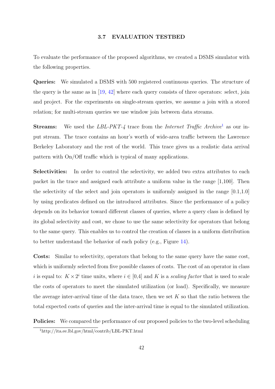### 3.7 EVALUATION TESTBED

To evaluate the performance of the proposed algorithms, we created a DSMS simulator with the following properties.

Queries: We simulated a DSMS with 500 registered continuous queries. The structure of the query is the same as in  $[19, 42]$  where each query consists of three operators: select, join and project. For the experiments on single-stream queries, we assume a join with a stored relation; for multi-stream q[ueri](#page-109-0)[es w](#page-111-0)e use window join between data streams.

**Streams:** We used the LBL-PKT-4 trace from the Internet Traffic Archive<sup>1</sup> as our input stream. The trace contains an hour's worth of wide-area traffic between the Lawrence Berkeley Laboratory and the rest of the world. This trace gives us a realistic data arrival pattern with On/Off traffic which is typical of many applications.

Selectivities: In order to control the selectivity, we added two extra attributes to each packet in the trace and assigned each attribute a uniform value in the range [1,100]. Then the selectivity of the select and join operators is uniformly assigned in the range  $[0.1,1.0]$ by using predicates defined on the introduced attributes. Since the performance of a policy depends on its behavior toward different classes of queries, where a query class is defined by its global selectivity and cost, we chose to use the same selectivity for operators that belong to the same query. This enables us to control the creation of classes in a uniform distribution to better understand the behavior of each policy (e.g., Figure 14).

Costs: Similar to selectivity, operators that belong to the same query have the same cost, which is uniformly selected from five possible classes of costs. [The](#page-61-0) cost of an operator in class i is equal to:  $K \times 2^i$  time units, where  $i \in [0,4]$  and K is a scaling factor that is used to scale the costs of operators to meet the simulated utilization (or load). Specifically, we measure the average inter-arrival time of the data trace, then we set  $K$  so that the ratio between the total expected costs of queries and the inter-arrival time is equal to the simulated utilization.

Policies: We compared the performance of our proposed policies to the two-level scheduling

<sup>1</sup>http://ita.ee.lbl.gov/html/contrib/LBL-PKT.html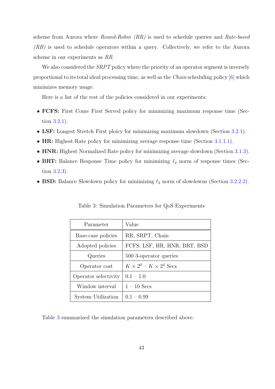scheme from Aurora where Round-Robin (RR) is used to schedule queries and Rate-based (RB) is used to schedule operators within a query. Collectively, we refer to the Aurora scheme in our experiments as RR.

We also considered the *SRPT* policy where the priority of an operator segment is inversely proportional to its total ideal processing time, as well as the Chain scheduling policy [6] which minimizes memory usage.

Here is a list of the rest of the policies considered in our experiments:

- FCFS: First Come First Served policy for minimizing maximum response time (Section 3.2.1).
- LSF: Longest Stretch First ploicy for minimizing maximum slowdown (Section 3.2.1).
- HR: [High](#page-32-0)est Rate policy for minimizing average response time (Section 3.1.1.1).
- HNR: Highest Normalized Rate policy for minimizing average slowdown (Section [3.1.](#page-32-0)3).
- BRT: Balance Response Time policy for minimizing  $\ell_2$  norm of respo[nse tim](#page-25-0)es (Section 3.2.3).
- **BSD:** Balance Slowdown policy for minimizing  $\ell_2$  norm of slowdowns (Section 3.2.2.2).

| Parameter            | Value                              |
|----------------------|------------------------------------|
| Base-case policies   | RR, SRPT, Chain                    |
| Adopted policies     | FCFS, LSF, HR, HNR, BRT, BSD       |
| Queries              | 500 3-operator queries             |
| Operator cost        | $K \times 2^0 - K \times 2^4$ Secs |
| Operator selectivity | $0.1 - 1.0$                        |
| Window interval      | $1-10$ Secs                        |
| System Utilization   | $0.1 - 0.99$                       |

Table 3: Simulation Parameters for QoS Experiments

Table 3 summarized the simulation parameters described above.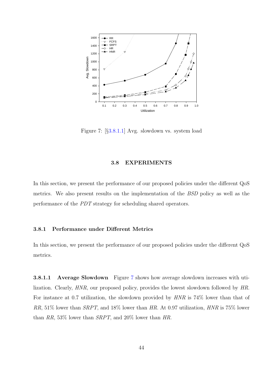

Figure 7: [§3.8.1.1] Avg. slowdown vs. system load

# 3.8 EXPERIMENTS

In this section, we present the performance of our proposed policies under the different QoS metrics. We also present results on the implementation of the BSD policy as well as the performance of the PDT strategy for scheduling shared operators.

# 3.8.1 Performance under Different Metrics

In this section, we present the performance of our proposed policies under the different QoS metrics.

**3.8.1.1** Average Slowdown Figure 7 shows how average slowdown increases with utilization. Clearly, HNR, our proposed policy, provides the lowest slowdown followed by HR. For instance at 0.7 utilization, the slowdown provided by HNR is 74% lower than that of RR, 51% lower than SRPT, and 18% lower than HR. At 0.97 utilization, HNR is 75% lower than RR, 53% lower than SRPT, and 20% lower than HR.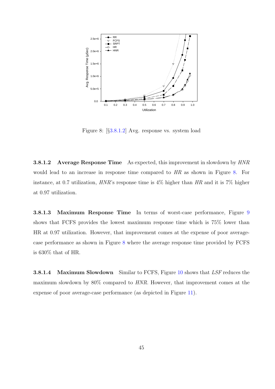

Figure 8: [§3.8.1.2] Avg. response vs. system load

**3.8.1.2** Average Response Time As expected, this improvement in slowdown by  $HNR$ would lead to an increase in response time compared to HR as shown in Figure 8. For instance, at 0.7 utilization, HNR's response time is 4% higher than HR and it is 7% higher at 0.97 utilization.

3.8.1.3 Maximum Response Time In terms of worst-case performance, Figure 9 shows that FCFS provides the lowest maximum response time which is 75% lower than HR at 0.97 utilization. However, that improvement comes at the expense of poor averag[e](#page-58-0)case performance as shown in Figure 8 where the average response time provided by FCFS is 630% that of HR.

**3.8.1.4** Maximum Slowdown Similar to FCFS, Figure 10 shows that LSF reduces the maximum slowdown by 80% compared to HNR. However, that improvement comes at the expense of poor average-case performance (as depicted in Fi[gure](#page-58-0) 11).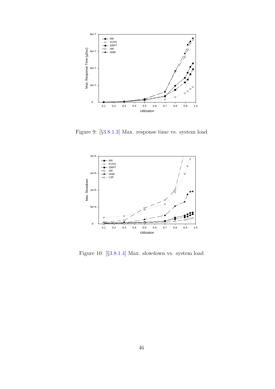<span id="page-58-0"></span>

Figure 9: [§3.8.1.3] Max. response time vs. system load



Figure 10: [§3.8.1.4] Max. slowdown vs. system load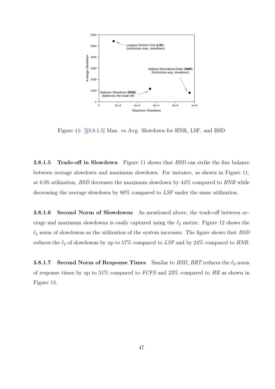

Figure 11: [§3.8.1.5] Max. vs Avg. Slowdown for HNR, LSF, and BSD

**3.8.1.5 Trade-off in Slowdown** Figure 11 shows that *BSD* can strike the fine balance between average slowdown and maximum slowdown. For instance, as shown in Figure 11, at 0.95 utilization, BSD decreases the maximum slowdown by 44% compared to HNR while decreasing the average slowdown by 80% compared to LSF under the same utilization.

3.8.1.6 Second Norm of Slowdowns As mentioned above, the trade-off between average and maximum slowdowns is easily captured using the  $\ell_2$  metric. Figure 12 shows the  $\ell_2$  norm of slowdowns as the utilization of the system increases. The figure shows that  $BSD$ reduces the  $\ell_2$  of slowdowns by up to 57% comp[ared](#page-60-0) to LSF and by 24% compared to HNR.

**3.8.1.7** Second Norm of Response Times Similar to BSD, BRT reduces the  $\ell_2$  norm of response times by up to  $51\%$  compared to  $FCFS$  and  $23\%$  compared to HR as shown in Figure 13.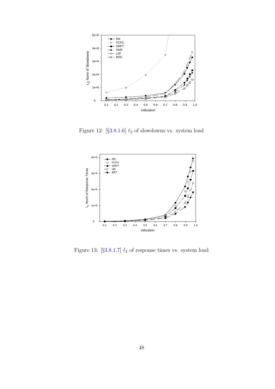<span id="page-60-0"></span>

Figure 12: [§3.8.1.6]  $\ell_2$  of slowdowns vs. system load



Figure 13: [§3.8.1.7]  $\ell_2$  of response times vs. system load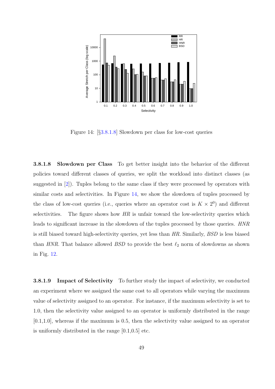<span id="page-61-0"></span>

Figure 14: [§3.8.1.8] Slowdown per class for low-cost queries

3.8.1.8 Slowdown per Class To get better insight into the behavior of the different policies toward different classes of queries, we split the workload into distinct classes (as suggested in [2]). Tuples belong to the same class if they were processed by operators with similar costs and selectivities. In Figure 14, we show the slowdown of tuples processed by the class of l[ow](#page-108-0)-cost queries (i.e., queries where an operator cost is  $K \times 2^0$ ) and different selectivities. The figure shows how  $HR$  is unfair toward the low-selectivity queries which leads to significant increase in the slowdown of the tuples processed by those queries. HNR is still biased toward high-selectivity queries, yet less than HR. Similarly, BSD is less biased than HNR. That balance allowed BSD to provide the best  $\ell_2$  norm of slowdowns as shown in Fig. 12.

**3.8.1.[9](#page-60-0)** Impact of Selectivity To further study the impact of selectivity, we conducted an experiment where we assigned the same cost to all operators while varying the maximum value of selectivity assigned to an operator. For instance, if the maximum selectivity is set to 1.0, then the selectivity value assigned to an operator is uniformly distributed in the range [0.1,1.0], whereas if the maximum is 0.5, then the selectivity value assigned to an operator is uniformly distributed in the range [0.1,0.5] etc.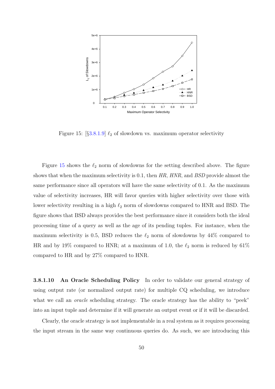

Figure 15:  $[§3.8.1.9] \ell_2$  of slowdown vs. maximum operator selectivity

Figure 15 shows the  $\ell_2$  norm of slowdowns for the setting described above. The figure shows that when the maximum selectivity is 0.1, then  $HR$ ,  $HNR$ , and  $BSD$  provide almost the same performance since all operators will have the same selectivity of 0.1. As the maximum value of selectivity increases, HR will favor queries with higher selectivity over those with lower selectivity resulting in a high  $\ell_2$  norm of slowdowns compared to HNR and BSD. The figure shows that BSD always provides the best performance since it considers both the ideal processing time of a query as well as the age of its pending tuples. For instance, when the maximum selectivity is 0.5, BSD reduces the  $\ell_2$  norm of slowdowns by 44% compared to HR and by 19% compared to HNR; at a maximum of 1.0, the  $\ell_2$  norm is reduced by 61% compared to HR and by 27% compared to HNR.

3.8.1.10 An Oracle Scheduling Policy In order to validate our general strategy of using output rate (or normalized output rate) for multiple CQ scheduling, we introduce what we call an *oracle* scheduling strategy. The oracle strategy has the ability to "peek" into an input tuple and determine if it will generate an output event or if it will be discarded.

Clearly, the oracle strategy is not implementable in a real system as it requires processing the input stream in the same way continuous queries do. As such, we are introducing this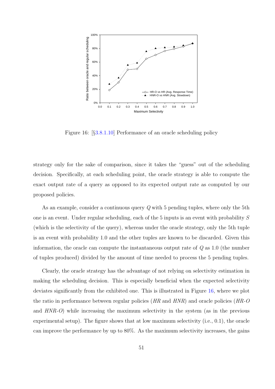<span id="page-63-0"></span>

Figure 16: [§3.8.1.10] Performance of an oracle scheduling policy

strategy only for the sake of comparison, since it takes the "guess" out of the scheduling decision. Specifically, at each scheduling point, the oracle strategy is able to compute the exact output rate of a query as opposed to its expected output rate as computed by our proposed policies.

As an example, consider a continuous query Q with 5 pending tuples, where only the 5th one is an event. Under regular scheduling, each of the 5 inputs is an event with probability S (which is the selectivity of the query), whereas under the oracle strategy, only the 5th tuple is an event with probability 1.0 and the other tuples are known to be discarded. Given this information, the oracle can compute the instantaneous output rate of  $Q$  as 1.0 (the number of tuples produced) divided by the amount of time needed to process the 5 pending tuples.

Clearly, the oracle strategy has the advantage of not relying on selectivity estimation in making the scheduling decision. This is especially beneficial when the expected selectivity deviates significantly from the exhibited one. This is illustrated in Figure 16, where we plot the ratio in performance between regular policies  $(HR \text{ and } HNR)$  and oracle policies  $(HR-O)$ and  $HNR-O$ ) while increasing the maximum selectivity in the system (as in the previous experimental setup). The figure shows that at low maximum selectivity (i.e., 0.1), the oracle can improve the performance by up to 80%. As the maximum selectivity increases, the gains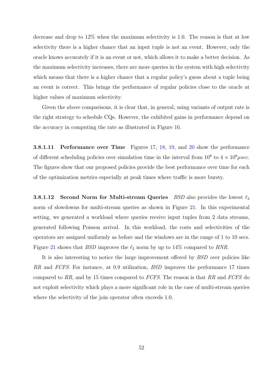decrease and drop to 12% when the maximum selectivity is 1.0. The reason is that at low selectivity there is a higher chance that an input tuple is not an event. However, only the oracle knows accurately if it is an event or not, which allows it to make a better decision. As the maximum selectivity increases, there are more queries in the system with high selectivity which means that there is a higher chance that a regular policy's guess about a tuple being an event is correct. This brings the performance of regular policies close to the oracle at higher values of maximum selectivity.

Given the above comparisons, it is clear that, in general, using variants of output rate is the right strategy to schedule CQs. However, the exhibited gains in performance depend on the accuracy in computing the rate as illustrated in Figure 16.

3.8.1.11 Performance over Time Figures 17, 18, 1[9, a](#page-63-0)nd 20 show the performance of different scheduling policies over simulation time in the interval from  $10^8$  to  $4 \times 10^8 \mu sec$ . The figures show that our proposed policies provi[de the best](#page-65-0) perf[orm](#page-65-0)ance over time for each of the optimization metrics especially at peak times where traffic is more bursty.

**3.8.1.12** Second Norm for Multi-stream Queries *BSD* also provides the lowest  $\ell_2$ norm of slowdowns for multi-stream queries as shown in Figure 21. In this experimental setting, we generated a workload where queries receive input tuples from 2 data streams, generated following Poisson arrival. In this workload, the cost[s a](#page-66-0)nd selectivities of the operators are assigned uniformly as before and the windows are in the range of 1 to 10 secs. Figure 21 shows that BSD improves the  $\ell_2$  norm by up to 14% compared to HNR.

It is also interesting to notice the large improvement offered by *BSD* over policies like RR an[d](#page-66-0) FCFS. For instance, at 0.9 utilization, BSD improves the performance 17 times compared to RR, and by 15 times compared to FCFS. The reason is that RR and FCFS do not exploit selectivity which plays a more significant role in the case of multi-stream queries where the selectivity of the join operator often exceeds 1.0.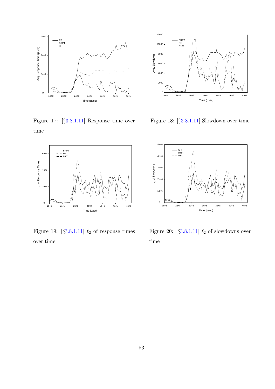<span id="page-65-0"></span>

Figure 17: [§3.8.1.11] Response time over time



Figure 19: [ $\S 3.8.1.11$ ]  $\ell_2$  of response times over time



Figure 18: [§3.8.1.11] Slowdown over time



Figure 20: [ $\S 3.8.1.11$ ]  $\ell_2$  of slowdowns over time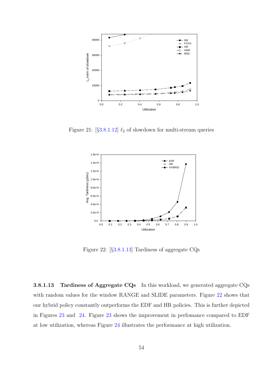<span id="page-66-0"></span>

Figure 21:  $[§3.8.1.12] \ell_2$  of slowdown for multi-stream queries



Figure 22: [§3.8.1.13] Tardiness of aggregate CQs

3.8.1.13 Tardiness of Aggregate CQs In this workload, we generated aggregate CQs with random values for the window RANGE and SLIDE parameters. Figure 22 shows that our hybrid policy constantly outperforms the EDF and HR policies. This is further depicted in Figures 23 and 24. Figure 23 shows the improvement in perfomance compared to EDF at low utilization, whereas Figure 24 illustrates the performance at high utilization.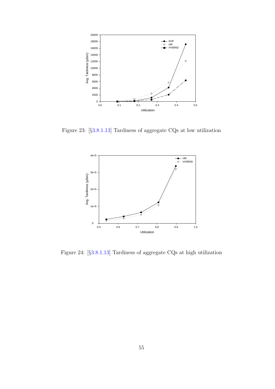

Figure 23: [§3.8.1.13] Tardiness of aggregate CQs at low utilization



Figure 24: [§3.8.1.13] Tardiness of aggregate CQs at high utilization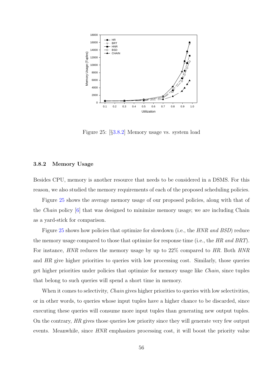<span id="page-68-0"></span>

Figure 25: [§3.8.2] Memory usage vs. system load

# 3.8.2 Memory Usage

Besides CPU, memory is another resource that needs to be considered in a DSMS. For this reason, we also studied the memory requirements of each of the proposed scheduling policies.

Figure 25 shows the average memory usage of our proposed policies, along with that of the Chain policy [6] that was designed to minimize memory usage; we are including Chain as a yard-stick for comparison.

Figure 25 sho[ws](#page-108-0) how policies that optimize for slowdown (i.e., the *HNR and BSD*) reduce the memory usage compared to those that optimize for response time (i.e., the HR and BRT). For instance, HNR reduces the memory usage by up to 22% compared to HR. Both HNR and HR give higher priorities to queries with low processing cost. Similarly, those queries get higher priorities under policies that optimize for memory usage like Chain, since tuples that belong to such queries will spend a short time in memory.

When it comes to selectivity, *Chain* gives higher priorities to queries with low selectivities, or in other words, to queries whose input tuples have a higher chance to be discarded, since executing these queries will consume more input tuples than generating new output tuples. On the contrary, HR gives those queries low priority since they will generate very few output events. Meanwhile, since HNR emphasizes processing cost, it will boost the priority value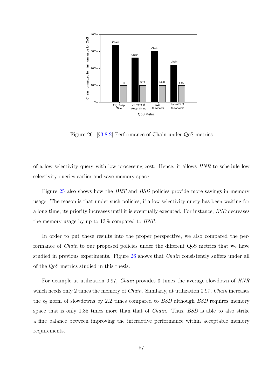

Figure 26: [§3.8.2] Performance of Chain under QoS metrics

of a low selectivity query with low processing cost. Hence, it allows HNR to schedule low selectivity queries earlier and save memory space.

Figure 25 also shows how the BRT and BSD policies provide more savings in memory usage. The reason is that under such policies, if a low selectivity query has been waiting for a long tim[e, it](#page-68-0)s priority increases until it is eventually executed. For instance, BSD decreases the memory usage by up to 13% compared to HNR.

In order to put these results into the proper perspective, we also compared the performance of Chain to our proposed policies under the different QoS metrics that we have studied in previous experiments. Figure 26 shows that *Chain* consistently suffers under all of the QoS metrics studied in this thesis.

For example at utilization 0.97, Chain provides 3 times the average slowdown of HNR which needs only 2 times the memory of *Chain*. Similarly, at utilization 0.97, *Chain* increases the  $\ell_2$  norm of slowdowns by 2.2 times compared to *BSD* although *BSD* requires memory space that is only 1.85 times more than that of *Chain*. Thus, *BSD* is able to also strike a fine balance between improving the interactive performance within acceptable memory requirements.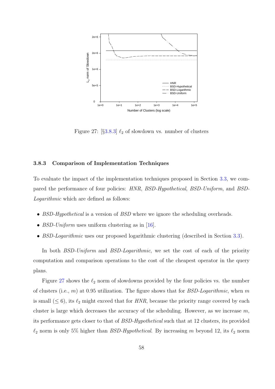

Figure 27:  $[\S 3.8.3] \ell_2$  of slowdown vs. number of clusters

## 3.8.3 Comparison of Implementation Techniques

To evaluate the impact of the implementation techniques proposed in Section 3.3, we compared the performance of four policies: HNR, BSD-Hypothetical, BSD-Uniform, and BSD-Logarithmic which are defined as follows:

- BSD-Hypothetical is a version of BSD where we ignore the scheduling overheads.
- *BSD-Uniform* uses uniform clustering as in [16].
- BSD-Logarithmic uses our proposed logarithmic clustering (described in Section 3.3).

In both *BSD-Uniform* and *BSD-Logarithm[ic](#page-109-0)*, we set the cost of each of the priority computation and comparison operations to the cost of the cheapest operator in th[e qu](#page-36-0)ery plans.

Figure 27 shows the  $\ell_2$  norm of slowdowns provided by the four policies vs. the number of clusters (i.e.,  $m$ ) at 0.95 utilization. The figure shows that for *BSD-Logarithmic*, when  $m$ is small  $(\leq 6)$ , its  $\ell_2$  might exceed that for HNR, because the priority range covered by each cluster is large which decreases the accuracy of the scheduling. However, as we increase  $m$ , its performance gets closer to that of BSD-Hypothetical such that at 12 clusters, its provided  $\ell_2$  norm is only 5% higher than *BSD-Hypothetical*. By increasing m beyond 12, its  $\ell_2$  norm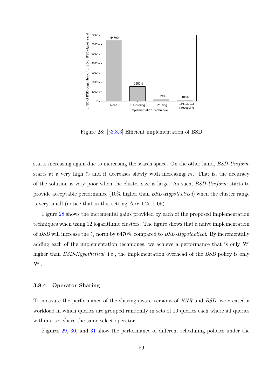

Figure 28: [§3.8.3] Efficient implementation of BSD

starts increasing again due to increasing the search space. On the other hand, BSD-Uniform starts at a very high  $\ell_2$  and it decreases slowly with increasing m. That is, the accuracy of the solution is very poor when the cluster size is large. As such, BSD-Uniform starts to provide acceptable performance (10% higher than BSD-Hypothetical) when the cluster range is very small (notice that in this setting  $\Delta \approx 1.2e + 0.5$ ).

Figure 28 shows the incremental gains provided by each of the proposed implementation techniques when using 12 logarithmic clusters. The figure shows that a naive implementation of BSD will increase the  $\ell_2$  norm by 6470% compared to BSD-Hypothetical. By incrementally adding each of the implementation techniques, we achieve a performance that is only 5% higher than *BSD-Hypothetical*, i.e., the implementation overhead of the *BSD* policy is only 5%.

### 3.8.4 Operator Sharing

To measure the performance of the sharing-aware versions of HNR and BSD, we created a workload in which queries are grouped randomly in sets of 10 queries each where all queries within a set share the same select operator.

Figures 29, 30, and 31 show the performance of different scheduling policies under the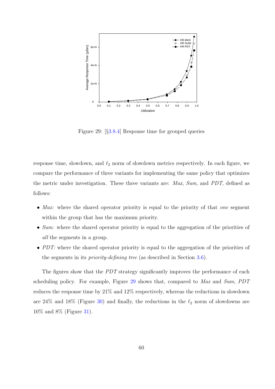

Figure 29: [§3.8.4] Response time for grouped queries

response time, slowdown, and  $\ell_2$  norm of slowdown metrics respectively. In each figure, we compare the performance of three variants for implementing the same policy that optimizes the metric under investigation. These three variants are: Max, Sum, and PDT, defined as follows:

- Max: where the shared operator priority is equal to the priority of that one segment within the group that has the maximum priority.
- Sum: where the shared operator priority is equal to the aggregation of the priorities of all the segments in a group.
- PDT: where the shared operator priority is equal to the aggregation of the priorities of the segments in its priority-defining tree (as described in Section 3.6).

The figures show that the PDT strategy significantly improves the performance of each scheduling policy. For example, Figure 29 shows that, compared to [M](#page-51-0)ax and Sum, PDT reduces the response time by 21% and 12% respectively, whereas the reductions in slowdown are 24% and 18% (Figure 30) and finally, the reductions in the  $\ell_2$  norm of slowdowns are 10% and 8% (Figure 31).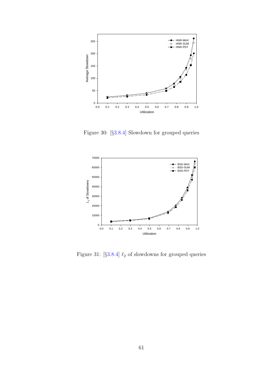

Figure 30: [§3.8.4] Slowdown for grouped queries



Figure 31: [§3.8.4]  $\ell_2$  of slowdowns for grouped queries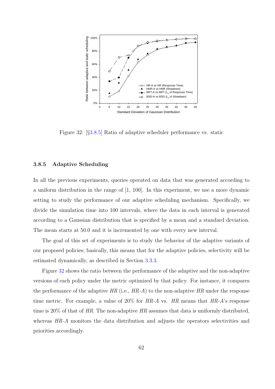<span id="page-74-0"></span>

Figure 32: [§3.8.5] Ratio of adaptive scheduler performance vs. static

#### 3.8.5 Adaptive Scheduling

In all the previous experiments, queries operated on data that was generated according to a uniform distribution in the range of [1, 100]. In this experiment, we use a more dynamic setting to study the performance of our adaptive scheduling mechanism. Specifically, we divide the simulation time into 100 intervals, where the data in each interval is generated according to a Gaussian distribution that is specified by a mean and a standard deviation. The mean starts at 50.0 and it is incremented by one with every new interval.

The goal of this set of experiments is to study the behavior of the adaptive variants of our proposed policies; basically, this means that for the adaptive policies, selectivity will be estimated dynamically, as described in Section 3.3.3.

Figure 32 shows the ratio between the performance of the adaptive and the non-adaptive versions of each policy under the metric optimi[zed by](#page-40-0) that policy. For instance, it compares the performance of the adaptive  $HR$  (i.e.,  $HR-A$ ) to the non-adaptive  $HR$  under the response time metric. For example, a value of  $20\%$  for HR-A vs. HR means that HR-A's response time is  $20\%$  of that of HR. The non-adaptive HR assumes that data is uniformly distributed, whereas HR-A monitors the data distribution and adjusts the operators selectivities and priorities accordingly.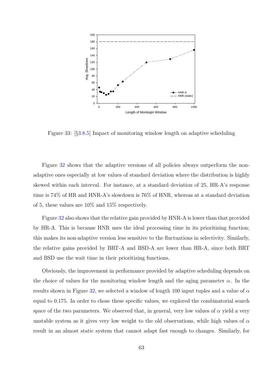<span id="page-75-0"></span>

Figure 33: [§3.8.5] Impact of monitoring window length on adaptive scheduling

Figure 32 shows that the adaptive versions of all policies always outperform the nonadaptive ones especially at low values of standard deviation where the distribution is highly skewed wi[thin](#page-74-0) each interval. For instance, at a standard deviation of 25, HR-A's response time is 74% of HR and HNR-A's slowdown is 76% of HNR, whereas at a standard deviation of 5, these values are 10% and 15% respectively.

Figure 32 also shows that the relative gain provided by HNR-A is lower than that provided by HR-A. This is because HNR uses the ideal processing time in its prioritizing function; this makes [its](#page-74-0) non-adaptive version less sensitive to the fluctuations in selectivity. Similarly, the relative gains provided by BRT-A and BSD-A are lower than HR-A, since both BRT and BSD use the wait time in their prioritizing functions.

Obviously, the improvement in performance provided by adaptive scheduling depends on the choice of values for the monitoring window length and the aging parameter  $\alpha$ . In the results shown in Figure 32, we selected a window of length 100 input tuples and a value of  $\alpha$ equal to 0.175. In order to chose these specific values, we explored the combinatorial search space of the two param[eter](#page-74-0)s. We observed that, in general, very low values of  $\alpha$  yield a very unstable system as it gives very low weight to the old observations, while high values of  $\alpha$ result in an almost static system that cannot adapt fast enough to changes. Similarly, for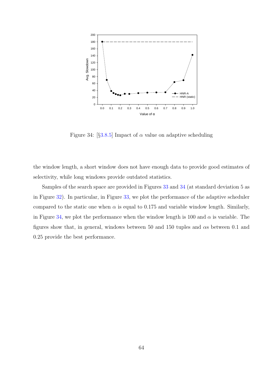

Figure 34:  $\left[\S3.8.5\right]$  Impact of  $\alpha$  value on adaptive scheduling

the window length, a short window does not have enough data to provide good estimates of selectivity, while long windows provide outdated statistics.

Samples of the search space are provided in Figures 33 and 34 (at standard deviation 5 as in Figure 32). In particular, in Figure 33, we plot the performance of the adaptive scheduler compared to the static one when  $\alpha$  is equal to 0.175 a[nd](#page-75-0) variable window length. Similarly, in Figure [34,](#page-74-0) we plot the performance [wh](#page-75-0)en the window length is 100 and  $\alpha$  is variable. The figures show that, in general, windows between 50 and 150 tuples and  $\alpha s$  between 0.1 and 0.25 provide the best performance.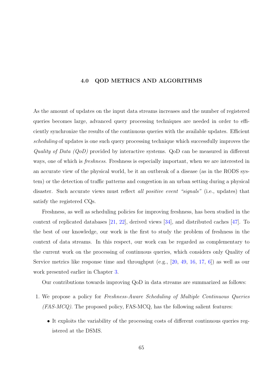#### 4.0 QOD METRICS AND ALGORITHMS

<span id="page-77-0"></span>As the amount of updates on the input data streams increases and the number of registered queries becomes large, advanced query processing techniques are needed in order to efficiently synchronize the results of the continuous queries with the available updates. Efficient scheduling of updates is one such query processing technique which successfully improves the Quality of Data (QoD) provided by interactive systems. QoD can be measured in different ways, one of which is *freshness*. Freshness is especially important, when we are interested in an accurate view of the physical world, be it an outbreak of a disease (as in the RODS system) or the detection of traffic patterns and congestion in an urban setting during a physical disaster. Such accurate views must reflect all positive event "signals" (i.e., updates) that satisfy the registered CQs.

Freshness, as well as scheduling policies for improving freshness, has been studied in the context of replicated databases [21, 22], derived views [34], and distributed caches [47]. To the best of our knowledge, our work is the first to study the problem of freshness in the context of data streams. In thi[s respe](#page-109-0)ct, our work ca[n b](#page-110-0)e regarded as compleme[ntar](#page-111-0)y to the current work on the processing of continuous queries, which considers only Quality of Service metrics like response time and throughput (e.g., [20, 49, 16, 17, 6]) as well as our work presented earlier in Chapter 3.

Our contributions towards improving QoD in data str[eam](#page-109-0)[s ar](#page-112-0)[e summ](#page-109-0)[ari](#page-108-0)zed as follows:

- 1. We propose a policy for Fres[hn](#page-23-0)ess-Aware Scheduling of Multiple Continuous Queries  $(FAS-MCQ)$ . The proposed policy, FAS-MCQ, has the following salient features:
	- It exploits the variability of the processing costs of different continuous queries registered at the DSMS.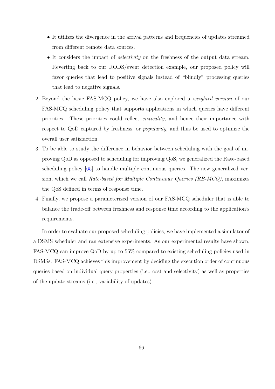- It utilizes the divergence in the arrival patterns and frequencies of updates streamed from different remote data sources.
- It considers the impact of *selectivity* on the freshness of the output data stream. Reverting back to our RODS/event detection example, our proposed policy will favor queries that lead to positive signals instead of "blindly" processing queries that lead to negative signals.
- 2. Beyond the basic FAS-MCQ policy, we have also explored a weighted version of our FAS-MCQ scheduling policy that supports applications in which queries have different priorities. These priorities could reflect criticality, and hence their importance with respect to QoD captured by freshness, or popularity, and thus be used to optimize the overall user satisfaction.
- 3. To be able to study the difference in behavior between scheduling with the goal of improving QoD as opposed to scheduling for improving QoS, we generalized the Rate-based scheduling policy [65] to handle multiple continuous queries. The new generalized version, which we call Rate-based for Multiple Continuous Queries (RB-MCQ), maximizes the QoS defined i[n te](#page-113-0)rms of response time.
- 4. Finally, we propose a parameterized version of our FAS-MCQ scheduler that is able to balance the trade-off between freshness and response time according to the application's requirements.

In order to evaluate our proposed scheduling policies, we have implemented a simulator of a DSMS scheduler and ran extensive experiments. As our experimental results have shown, FAS-MCQ can improve QoD by up to 55% compared to existing scheduling policies used in DSMSs. FAS-MCQ achieves this improvement by deciding the execution order of continuous queries based on individual query properties (i.e., cost and selectivity) as well as properties of the update streams (i.e., variability of updates).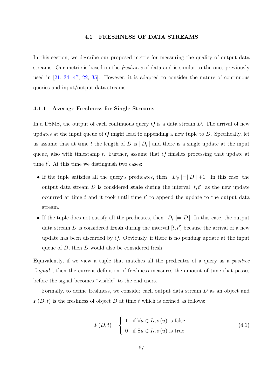#### 4.1 FRESHNESS OF DATA STREAMS

In this section, we describe our proposed metric for measuring the quality of output data streams. Our metric is based on the freshness of data and is similar to the ones previously used in [21, 34, 47, 22, 35]. However, it is adapted to consider the nature of continuous queries and input/output data streams.

#### 4.1.1 Average Freshness for Single Streams

In a DSMS, the output of each continuous query  $Q$  is a data stream  $D$ . The arrival of new updates at the input queue of  $Q$  might lead to appending a new tuple to  $D$ . Specifically, let us assume that at time t the length of D is  $|D_t|$  and there is a single update at the input queue, also with timestamp t. Further, assume that  $Q$  finishes processing that update at time  $t'$ . At this time we distinguish two cases:

- If the tuple satisfies all the query's predicates, then  $|D_{t'}|=|D|+1$ . In this case, the output data stream D is considered **stale** during the interval  $[t, t']$  as the new update occurred at time  $t$  and it took until time  $t'$  to append the update to the output data stream.
- If the tuple does not satisfy all the predicates, then  $|D_{t'}|=|D|$ . In this case, the output data stream D is considered fresh during the interval  $[t, t']$  because the arrival of a new update has been discarded by Q. Obviously, if there is no pending update at the input queue of D, then D would also be considered fresh.

Equivalently, if we view a tuple that matches all the predicates of a query as a positive "signal", then the current definition of freshness measures the amount of time that passes before the signal becomes "visible" to the end users.

Formally, to define freshness, we consider each output data stream D as an object and  $F(D, t)$  is the freshness of object D at time t which is defined as follows:

$$
F(D,t) = \begin{cases} 1 & \text{if } \forall u \in I_t, \sigma(u) \text{ is false} \\ 0 & \text{if } \exists u \in I_t, \sigma(u) \text{ is true} \end{cases}
$$
(4.1)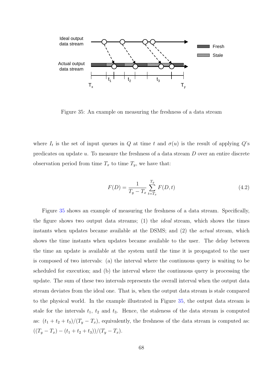<span id="page-80-0"></span>

Figure 35: An example on measuring the freshness of a data stream

where  $I_t$  is the set of input queues in Q at time t and  $\sigma(u)$  is the result of applying Q's predicates on update u. To measure the freshness of a data stream D over an entire discrete observation period from time  $T_x$  to time  $T_y$ , we have that:

$$
F(D) = \frac{1}{T_y - T_x} \sum_{t=T_x}^{T_y} F(D, t)
$$
\n(4.2)

Figure 35 shows an example of measuring the freshness of a data stream. Specifically, the figure shows two output data streams; (1) the ideal stream, which shows the times instants when updates became available at the DSMS; and (2) the actual stream, which shows the time instants when updates became available to the user. The delay between the time an update is available at the system until the time it is propagated to the user is composed of two intervals: (a) the interval where the continuous query is waiting to be scheduled for execution; and (b) the interval where the continuous query is processing the update. The sum of these two intervals represents the overall interval when the output data stream deviates from the ideal one. That is, when the output data stream is stale compared to the physical world. In the example illustrated in Figure 35, the output data stream is stale for the intervals  $t_1$ ,  $t_2$  and  $t_3$ . Hence, the staleness of the data stream is computed as:  $(t_1 + t_2 + t_3)/(T_y - T_x)$ , equivalently, the freshness of the data stream is computed as:  $((T_y - T_x) - (t_1 + t_2 + t_3))/(T_y - T_x).$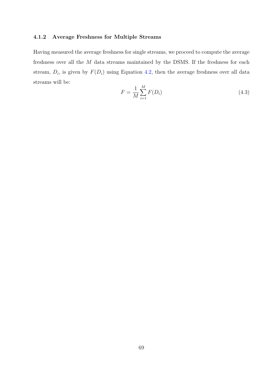## 4.1.2 Average Freshness for Multiple Streams

Having measured the average freshness for single streams, we proceed to compute the average freshness over all the  $M$  data streams maintained by the DSMS. If the freshness for each stream,  $D_i$ , is given by  $F(D_i)$  using Equation 4.2, then the average freshness over all data streams will be:

$$
F = \frac{1}{M} \sum_{i=1}^{M} F(D_i)
$$
\n(4.3)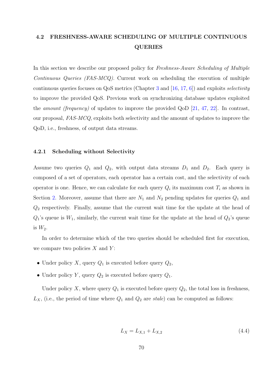# 4.2 FRESHNESS-AWARE SCHEDULING OF MULTIPLE CONTINUOUS QUERIES

In this section we describe our proposed policy for Freshness-Aware Scheduling of Multiple Continuous Queries (FAS-MCQ). Current work on scheduling the execution of multiple continuous queries focuses on  $QoS$  metrics (Chapter 3 and [16, 17, 6]) and exploits *selectivity* to improve the provided QoS. Previous work on synchronizing database updates exploited the *amount (frequency)* of updates to im[pr](#page-23-0)ove the provid[ed QoD](#page-109-0) [\[](#page-108-0)21, 47, 22]. In contrast, our proposal, FAS-MCQ, exploits both selectivity and the amount of updates to improve the QoD, i.e., freshness, of output data streams.

#### 4.2.1 Scheduling without Selectivity

Assume two queries  $Q_1$  and  $Q_2$ , with output data streams  $D_1$  and  $D_2$ . Each query is composed of a set of operators, each operator has a certain cost, and the selectivity of each operator is one. Hence, we can calculate for each query  $Q_i$  its maximum cost  $T_i$  as shown in Section 2. Moreover, assume that there are  $N_1$  and  $N_2$  pending updates for queries  $Q_1$  and  $Q_2$  respectively. Finally, assume that the current wait time for the update at the head of  $Q_1$ 's qu[eu](#page-16-0)e is  $W_1$ , similarly, the current wait time for the update at the head of  $Q_2$ 's queue is  $W_2$ .

In order to determine which of the two queries should be scheduled first for execution, we compare two policies  $X$  and  $Y$ :

- Under policy X, query  $Q_1$  is executed before query  $Q_2$ ,
- Under policy Y, query  $Q_2$  is executed before query  $Q_1$ .

Under policy X, where query  $Q_1$  is executed before query  $Q_2$ , the total loss in freshness,  $L_X$ , (i.e., the period of time where  $Q_1$  and  $Q_2$  are stale) can be computed as follows:

$$
L_X = L_{X,1} + L_{X,2} \tag{4.4}
$$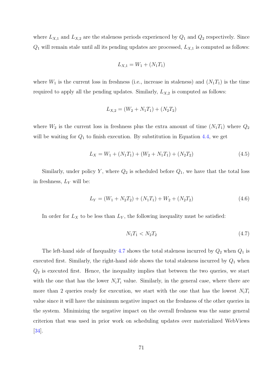<span id="page-83-0"></span>where  $L_{X,1}$  and  $L_{X,2}$  are the staleness periods experienced by  $Q_1$  and  $Q_2$  respectively. Since  $Q_1$  will remain stale until all its pending updates are processed,  $L_{X,1}$  is computed as follows:

$$
L_{X,1} = W_1 + (N_1 T_1)
$$

where  $W_1$  is the current loss in freshness (i.e., increase in staleness) and  $(N_1T_1)$  is the time required to apply all the pending updates. Similarly,  $L_{X,2}$  is computed as follows:

$$
L_{X,2} = (W_2 + N_1 T_1) + (N_2 T_2)
$$

where  $W_2$  is the current loss in freshness plus the extra amount of time  $(N_1T_1)$  where  $Q_2$ will be waiting for  $Q_1$  to finish execution. By substitution in Equation 4.4, we get

$$
L_X = W_1 + (N_1 T_1) + (W_2 + N_1 T_1) + (N_2 T_2)
$$
\n(4.5)

Similarly, under policy Y, where  $Q_2$  is scheduled before  $Q_1$ , we have that the total loss in freshness,  $L_Y$  will be:

$$
L_Y = (W_1 + N_2 T_2) + (N_1 T_1) + W_2 + (N_2 T_2)
$$
\n(4.6)

In order for  $L_X$  to be less than  $L_Y$ , the following inequality must be satisfied:

$$
N_1 T_1 < N_2 T_2 \tag{4.7}
$$

The left-hand side of Inequality 4.7 shows the total staleness incurred by  $Q_2$  when  $Q_1$  is executed first. Similarly, the right-hand side shows the total staleness incurred by  $Q_1$  when  $Q_2$  is executed first. Hence, the inequality implies that between the two queries, we start with the one that has the lower  $N_iT_i$  value. Similarly, in the general case, where there are more than 2 queries ready for execution, we start with the one that has the lowest  $N_iT_i$ value since it will have the minimum negative impact on the freshness of the other queries in the system. Minimizing the negative impact on the overall freshness was the same general criterion that was used in prior work on scheduling updates over materialized WebViews [34].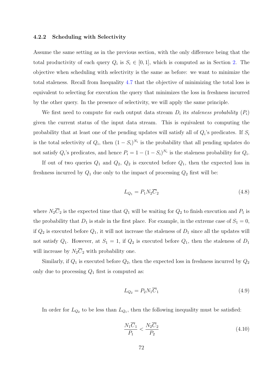#### <span id="page-84-0"></span>4.2.2 Scheduling with Selectivity

Assume the same setting as in the previous section, with the only difference being that the total productivity of each query  $Q_i$  is  $S_i \in [0,1]$ , which is computed as in Section 2. The objective when scheduling with selectivity is the same as before: we want to minimize the total staleness. Recall from Inequality 4.7 that the objective of minimizing the tot[al l](#page-16-0)oss is equivalent to selecting for execution the query that minimizes the loss in freshness incurred by the other query. In the presence of [sele](#page-83-0)ctivity, we will apply the same principle.

We first need to compute for each output data stream  $D_i$  its staleness probability  $(P_i)$ given the current status of the input data stream. This is equivalent to computing the probability that at least one of the pending updates will satisfy all of  $Q_i$ 's predicates. If  $S_i$ is the total selectivity of  $Q_i$ , then  $(1 - S_i)^{N_i}$  is the probability that all pending updates do not satisfy  $Q_i$ 's predicates, and hence  $P_i = 1 - (1 - S_i)^{N_i}$  is the staleness probability for  $Q_i$ .

If out of two queries  $Q_1$  and  $Q_2$ ,  $Q_2$  is executed before  $Q_1$ , then the expected loss in freshness incurred by  $Q_1$  due only to the impact of processing  $Q_2$  first will be:

$$
L_{Q_1} = P_1 N_2 \overline{C}_2 \tag{4.8}
$$

where  $N_2\overline{C}_2$  is the expected time that  $Q_1$  will be waiting for  $Q_2$  to finish execution and  $P_1$  is the probability that  $D_1$  is stale in the first place. For example, in the extreme case of  $S_1 = 0$ , if  $Q_2$  is executed before  $Q_1$ , it will not increase the staleness of  $D_1$  since all the updates will not satisfy  $Q_1$ . However, at  $S_1 = 1$ , if  $Q_2$  is executed before  $Q_1$ , then the staleness of  $D_1$ will increase by  $N_2\overline{C}_2$  with probability one.

Similarly, if  $Q_1$  is executed before  $Q_2$ , then the expected loss in freshness incurred by  $Q_2$ only due to processing  $Q_1$  first is computed as:

$$
L_{Q_2} = P_2 N_1 \overline{C}_1 \tag{4.9}
$$

In order for  $L_{Q_2}$  to be less than  $L_{Q_1}$ , then the following inequality must be satisfied:

$$
\frac{N_1 \overline{C}_1}{P_1} < \frac{N_2 \overline{C}_2}{P_2} \tag{4.10}
$$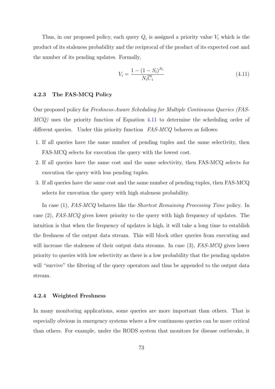<span id="page-85-0"></span>Thus, in our proposed policy, each query  $Q_i$  is assigned a priority value  $V_i$  which is the product of its staleness probability and the reciprocal of the product of its expected cost and the number of its pending updates. Formally,

$$
V_i = \frac{1 - (1 - S_i)^{N_i}}{N_i \overline{C}_i} \tag{4.11}
$$

## 4.2.3 The FAS-MCQ Policy

Our proposed policy for Freshness-Aware Scheduling for Multiple Continuous Queries (FAS-MCQ) uses the priority function of Equation 4.11 to determine the scheduling order of different queries. Under this priority function FAS-MCQ behaves as follows:

- 1. If all queries have the same number of pending tuples and the same selectivity, then FAS-MCQ selects for execution the query with the lowest cost.
- 2. If all queries have the same cost and the same selectivity, then FAS-MCQ selects for execution the query with less pending tuples.
- 3. If all queries have the same cost and the same number of pending tuples, then FAS-MCQ selects for execution the query with high staleness probability.

In case (1), FAS-MCQ behaves like the Shortest Remaining Processing Time policy. In case (2), FAS-MCQ gives lower priority to the query with high frequency of updates. The intuition is that when the frequency of updates is high, it will take a long time to establish the freshness of the output data stream. This will block other queries from executing and will increase the staleness of their output data streams. In case  $(3)$ , FAS-MCQ gives lower priority to queries with low selectivity as there is a low probability that the pending updates will "survive" the filtering of the query operators and thus be appended to the output data stream.

#### 4.2.4 Weighted Freshness

In many monitoring applications, some queries are more important than others. That is especially obvious in emergency systems where a few continuous queries can be more critical than others. For example, under the RODS system that monitors for disease outbreaks, it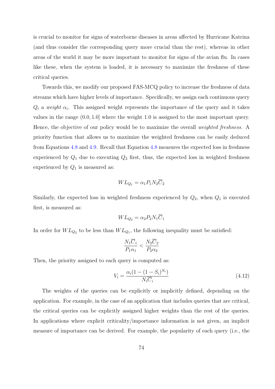is crucial to monitor for signs of waterborne diseases in areas affected by Hurricane Katrina (and thus consider the corresponding query more crucial than the rest), whereas in other areas of the world it may be more important to monitor for signs of the avian flu. In cases like these, when the system is loaded, it is necessary to maximize the freshness of these critical queries.

Towards this, we modify our proposed FAS-MCQ policy to increase the freshness of data streams which have higher levels of importance. Specifically, we assign each continuous query  $Q_i$  a weight  $\alpha_i$ . This assigned weight represents the importance of the query and it takes values in the range (0.0, 1.0] where the weight 1.0 is assigned to the most important query. Hence, the objective of our policy would be to maximize the overall *weighted freshness*. A priority function that allows us to maximize the weighted freshness can be easily deduced from Equations 4.8 and 4.9. Recall that Equation 4.8 measures the expected loss in freshness experienced by  $Q_1$  due to executing  $Q_2$  first, thus, the expected loss in weighted freshness experienced by  $Q_1$  $Q_1$  is m[easu](#page-84-0)red as:

$$
WL_{Q_1} = \alpha_1 P_1 N_2 \overline{C}_2
$$

Similarly, the expected loss in weighted freshness experienced by  $Q_2$ , when  $Q_1$  is executed first, is measured as:

$$
WL_{Q_2} = \alpha_2 P_2 N_1 \overline{C}_1
$$

In order for  $WL_{Q_2}$  to be less than  $WL_{Q_1}$ , the following inequality must be satisfied:

$$
\frac{N_1\overline{C}_1}{P_1\alpha_1} < \frac{N_2\overline{C}_2}{P_2\alpha_2}
$$

Then, the priority assigned to each query is computed as:

$$
V_i = \frac{\alpha_i (1 - (1 - S_i)^{N_i})}{N_i \overline{C}_i} \tag{4.12}
$$

The weights of the queries can be explicitly or implicitly defined, depending on the application. For example, in the case of an application that includes queries that are critical, the critical queries can be explicitly assigned higher weights than the rest of the queries. In applications where explicit criticality/importance information is not given, an implicit measure of importance can be derived. For example, the popularity of each query (i.e., the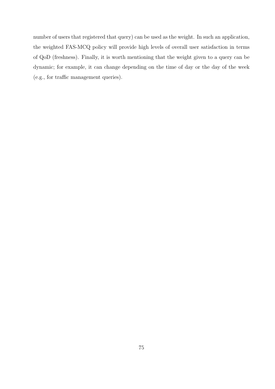number of users that registered that query) can be used as the weight. In such an application, the weighted FAS-MCQ policy will provide high levels of overall user satisfaction in terms of QoD (freshness). Finally, it is worth mentioning that the weight given to a query can be dynamic; for example, it can change depending on the time of day or the day of the week (e.g., for traffic management queries).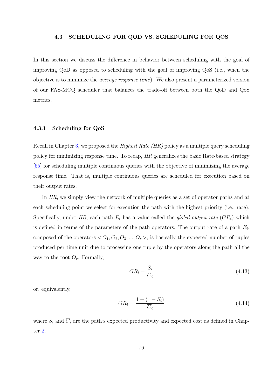#### 4.3 SCHEDULING FOR QOD VS. SCHEDULING FOR QOS

<span id="page-88-0"></span>In this section we discuss the difference in behavior between scheduling with the goal of improving QoD as opposed to scheduling with the goal of improving QoS (i.e., when the objective is to minimize the average response time). We also present a parameterized version of our FAS-MCQ scheduler that balances the trade-off between both the QoD and QoS metrics.

#### 4.3.1 Scheduling for QoS

Recall in Chapter 3, we proposed the Highest Rate (HR) policy as a multiple query scheduling policy for minimizing response time. To recap, HR generalizes the basic Rate-based strategy [65] for schedulin[g m](#page-23-0)ultiple continuous queries with the objective of minimizing the average response time. That is, multiple continuous queries are scheduled for execution based on [the](#page-113-0)ir output rates.

In HR, we simply view the network of multiple queries as a set of operator paths and at each scheduling point we select for execution the path with the highest priority (i.e., rate). Specifically, under HR, each path  $E_i$  has a value called the *global output rate*  $(GR_i)$  which is defined in terms of the parameters of the path operators. The output rate of a path  $E_i$ , composed of the operators  $\langle O_1, O_2, O_3, \ldots, O_r \rangle$ , is basically the expected number of tuples produced per time unit due to processing one tuple by the operators along the path all the way to the root  $O_r$ . Formally,

$$
GR_i = \frac{S_i}{\overline{C}_i} \tag{4.13}
$$

or, equivalently,

$$
GR_i = \frac{1 - (1 - S_i)}{\overline{C}_i} \tag{4.14}
$$

where  $S_i$  and  $\overline{C}_i$  are the path's expected productivity and expected cost as defined in Chapter 2.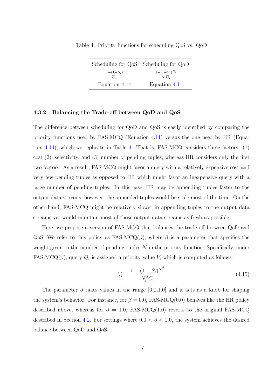|               | Scheduling for QoS   Scheduling for QoD  |  |  |
|---------------|------------------------------------------|--|--|
| $1-(1-S_i)$   | $1-(1-S_i)^{N_i}$<br>$N_i\overline{C}_i$ |  |  |
| Equation 4.14 | Equation 4.11                            |  |  |

Table 4: Priority functions for scheduling QoS vs. QoD

#### 4.3.2 Balancing the Trade-off [betw](#page-88-0)een QoD and [QoS](#page-85-0)

The difference between scheduling for QoD and QoS is easily identified by comparing the priority functions used by FAS-MCQ (Equation 4.11) versus the one used by HR (Equation 4.14), which we replicate in Table 4. That is, FAS-MCQ considers three factors: (1) cost (2), selectivity, and (3) number of pending t[uples](#page-85-0), whereas HR considers only the first two [factor](#page-88-0)s. As a result, FAS-MCQ might favor a query with a relatively expensive cost and very few pending tuples as opposed to HR which might favor an inexpensive query with a large number of pending tuples. In this case, HR may be appending tuples faster to the output data streams, however, the appended tuples would be stale most of the time. On the other hand, FAS-MCQ might be relatively slower in appending tuples to the output data streams yet would maintain most of those output data streams as fresh as possible.

Here, we propose a version of FAS-MCQ that balances the trade-off between QoD and QoS. We refer to this policy as FAS-MCQ( $\beta$ ), where  $\beta$  is a parameter that specifies the weight given to the number of pending tuples N in the priority function. Specifically, under FAS-MCQ( $\beta$ ), query  $Q_i$  is assigned a priority value  $V_i$  which is computed as follows:

$$
V_i = \frac{1 - (1 - S_i)^{N_i^{\beta}}}{N_i^{\beta} \overline{C}_i}
$$
\n(4.15)

The parameter  $\beta$  takes values in the range [0.0,1.0] and it acts as a knob for shaping the system's behavior. For instance, for  $\beta = 0.0$ , FAS-MCQ(0.0) behaves like the HR policy described above, whereas for  $\beta = 1.0$ , FAS-MCQ(1.0) reverts to the original FAS-MCQ described in Section 4.2. For settings where  $0.0 < \beta < 1.0$ , the system achieves the desired balance between QoD and QoS.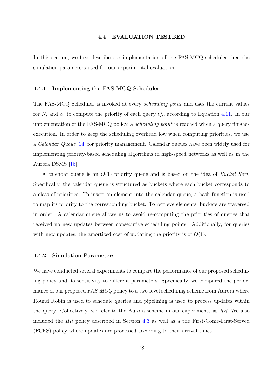#### 4.4 EVALUATION TESTBED

In this section, we first describe our implementation of the FAS-MCQ scheduler then the simulation parameters used for our experimental evaluation.

#### 4.4.1 Implementing the FAS-MCQ Scheduler

The FAS-MCQ Scheduler is invoked at every *scheduling point* and uses the current values for  $N_i$  and  $S_i$  to compute the priority of each query  $Q_i$ , according to Equation 4.11. In our implementation of the FAS-MCQ policy, a scheduling point is reached when a query finishes execution. In order to keep the scheduling overhead low when computing prior[ities,](#page-85-0) we use a Calendar Queue [14] for priority management. Calendar queues have been widely used for implementing priority-based scheduling algorithms in high-speed networks as well as in the Aurora DSMS [16][.](#page-109-0)

A calendar queue is an  $O(1)$  priority queue and is based on the idea of *Bucket Sort*. Specifically, th[e ca](#page-109-0)lendar queue is structured as buckets where each bucket corresponds to a class of priorities. To insert an element into the calendar queue, a hash function is used to map its priority to the corresponding bucket. To retrieve elements, buckets are traversed in order. A calendar queue allows us to avoid re-computing the priorities of queries that received no new updates between consecutive scheduling points. Additionally, for queries with new updates, the amortized cost of updating the priority is of  $O(1)$ .

#### 4.4.2 Simulation Parameters

We have conducted several experiments to compare the performance of our proposed scheduling policy and its sensitivity to different parameters. Specifically, we compared the performance of our proposed FAS-MCQ policy to a two-level scheduling scheme from Aurora where Round Robin is used to schedule queries and pipelining is used to process updates within the query. Collectively, we refer to the Aurora scheme in our experiments as  $RR$ . We also included the HR policy described in Section 4.3 as well as a the First-Come-First-Served (FCFS) policy where updates are processed according to their arrival times.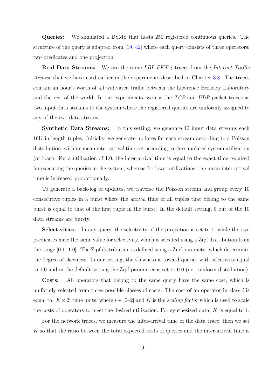Queries: We simulated a DSMS that hosts 250 registered continuous queries. The structure of the query is adapted from [19, 42] where each query consists of three operators: two predicates and one projection.

**Real Data Streams:** We use th[e sa](#page-109-0)[me](#page-111-0) LBL-PKT-4 traces from the Internet Traffic Archive that we have used earlier in the experiments described in Chapter 3.8. The traces contain an hour's worth of all wide-area traffic between the Lawrence Berkeley Laboratory and the rest of the world. In our experiments, we use the TCP and UDP [pack](#page-56-0)et traces as two input data streams to the system where the registered queries are uniformly assigned to any of the two data streams.

Synthetic Data Streams: In this setting, we generate 10 input data streams each 10K in length tuples. Initially, we generate updates for each stream according to a Poisson distribution, with its mean inter-arrival time set according to the simulated system utilization (or load). For a utilization of 1.0, the inter-arrival time is equal to the exact time required for executing the queries in the system, whereas for lower utilizations, the mean inter-arrival time is increased proportionally.

To generate a back-log of updates, we traverse the Poisson stream and group every 10 consecutive tuples in a burst where the arrival time of all tuples that belong to the same burst is equal to that of the first tuple in the burst. In the default setting, 5 out of the 10 data streams are bursty.

Selectivities: In any query, the selectivity of the projection is set to 1, while the two predicates have the same value for selectivity, which is selected using a Zipf distribution from the range [0.1, 1.0]. The Zipf distribution is defined using a Zipf parameter which determines the degree of skewness. In our setting, the skewness is toward queries with selectivity equal to 1.0 and in the default setting the Zipf parameter is set to 0.0 (i.e., uniform distribution).

Costs: All operators that belong to the same query have the same cost, which is uniformly selected from three possible classes of costs. The cost of an operator in class  $i$  is equal to:  $K \times 2^i$  time units, where  $i \in [0-2]$  and K is the scaling factor which is used to scale the costs of operators to meet the desired utilization. For synthesized data, K is equal to 1.

For the network traces, we measure the inter-arrival time of the data trace, then we set K so that the ratio between the total expected costs of queries and the inter-arrival time is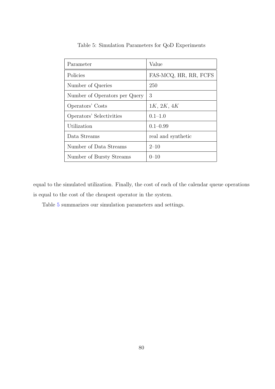| Parameter                     | Value                 |
|-------------------------------|-----------------------|
| Policies                      | FAS-MCQ, HR, RR, FCFS |
| Number of Queries             | 250                   |
| Number of Operators per Query | 3                     |
| Operators' Costs              | 1K, 2K, 4K            |
| Operators' Selectivities      | $0.1 - 1.0$           |
| Utilization                   | $0.1 - 0.99$          |
| Data Streams                  | real and synthetic    |
| Number of Data Streams        | $2 - 10$              |
| Number of Bursty Streams      | $0 - 10$              |

Table 5: Simulation Parameters for QoD Experiments

equal to the simulated utilization. Finally, the cost of each of the calendar queue operations is equal to the cost of the cheapest operator in the system.

Table 5 summarizes our simulation parameters and settings.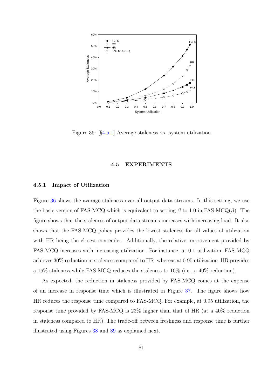

Figure 36: [§4.5.1] Average staleness vs. system utilization

#### 4.5 EXPERIMENTS

#### 4.5.1 Impact of Utilization

Figure 36 shows the average staleness over all output data streams. In this setting, we use the basic version of FAS-MCQ which is equivalent to setting  $\beta$  to 1.0 in FAS-MCQ( $\beta$ ). The figure shows that the staleness of output data streams increases with increasing load. It also shows that the FAS-MCQ policy provides the lowest staleness for all values of utilization with HR being the closest contender. Additionally, the relative improvement provided by FAS-MCQ increases with increasing utilization. For instance, at 0.1 utilization, FAS-MCQ achieves 30% reduction in staleness compared to HR, whereas at 0.95 utilization, HR provides a 16% staleness while FAS-MCQ reduces the staleness to 10% (i.e., a 40% reduction).

As expected, the reduction in staleness provided by FAS-MCQ comes at the expense of an increase in response time which is illustrated in Figure 37. The figure shows how HR reduces the response time compared to FAS-MCQ. For example, at 0.95 utilization, the response time provided by FAS-MCQ is 23% higher than that [of](#page-94-0) HR (at a 40% reduction in staleness compared to HR). The trade-off between freshness and response time is further illustrated using Figures 38 and 39 as explained next.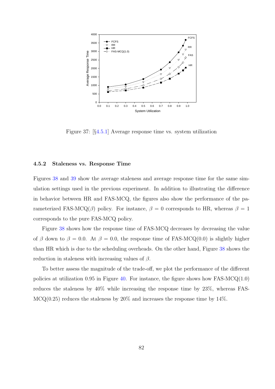<span id="page-94-0"></span>

Figure 37: [§4.5.1] Average response time vs. system utilization

#### 4.5.2 Staleness vs. Response Time

Figures 38 and 39 show the average staleness and average response time for the same simulation settings used in the previous experiment. In addition to illustrating the difference in beha[vior](#page-95-0) bet[wee](#page-95-0)n HR and FAS-MCQ, the figures also show the performance of the parameterized FAS-MCQ( $\beta$ ) policy. For instance,  $\beta = 0$  corresponds to HR, whereas  $\beta = 1$ corresponds to the pure FAS-MCQ policy.

Figure 38 shows how the response time of FAS-MCQ decreases by decreasing the value of β down to  $\beta = 0.0$ . At  $\beta = 0.0$ , the response time of FAS-MCQ(0.0) is slightly higher than HR [whic](#page-95-0)h is due to the scheduling overheads. On the other hand, Figure 38 shows the reduction in staleness with increasing values of  $\beta$ .

To better assess the magnitude of the trade-off, we plot the performance of [th](#page-95-0)e different policies at utilization 0.95 in Figure 40. For instance, the figure shows how FAS-MCQ $(1.0)$ reduces the staleness by 40% while increasing the response time by 23%, whereas FAS- $MCQ(0.25)$  reduces the staleness by  $20\%$  and increases the response time by 14%.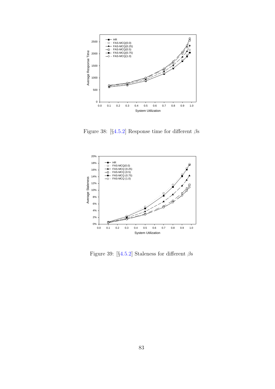<span id="page-95-0"></span>

Figure 38: [§4.5.2] Response time for different  $\beta$ s



Figure 39: [§4.5.2] Staleness for different  $\beta$ s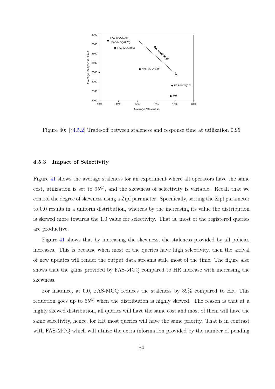<span id="page-96-0"></span>

Figure 40: [§4.5.2] Trade-off between staleness and response time at utilization 0.95

#### 4.5.3 Impact of Selectivity

Figure 41 shows the average staleness for an experiment where all operators have the same cost, utilization is set to 95%, and the skewness of selectivity is variable. Recall that we control [the](#page-97-0) degree of skewness using a Zipf parameter. Specifically, setting the Zipf parameter to 0.0 results in a uniform distribution, whereas by the increasing its value the distribution is skewed more towards the 1.0 value for selectivity. That is, most of the registered queries are productive.

Figure 41 shows that by increasing the skewness, the staleness provided by all policies increases. This is because when most of the queries have high selectivity, then the arrival of new up[date](#page-97-0)s will render the output data streams stale most of the time. The figure also shows that the gains provided by FAS-MCQ compared to HR increase with increasing the skewness.

For instance, at 0.0, FAS-MCQ reduces the staleness by 39% compared to HR. This reduction goes up to 55% when the distribution is highly skewed. The reason is that at a highly skewed distribution, all queries will have the same cost and most of them will have the same selectivity, hence, for HR most queries will have the same priority. That is in contrast with FAS-MCQ which will utilize the extra information provided by the number of pending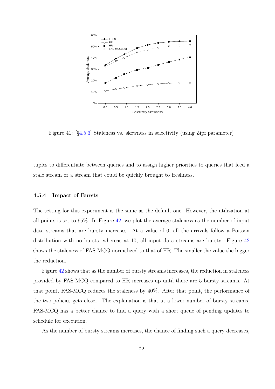<span id="page-97-0"></span>

Figure 41: [§4.5.3] Staleness vs. skewness in selectivity (using Zipf parameter)

tuples to differentiate between queries and to assign higher priorities to queries that feed a stale stream or a stream that could be quickly brought to freshness.

#### 4.5.4 Impact of Bursts

The setting for this experiment is the same as the default one. However, the utilization at all points is set to 95%. In Figure 42, we plot the average staleness as the number of input data streams that are bursty increases. At a value of 0, all the arrivals follow a Poisson distribution with no bursts, wher[eas](#page-98-0) at 10, all input data streams are bursty. Figure 42 shows the staleness of FAS-MCQ normalized to that of HR. The smaller the value the bigger the reduction.

Figure 42 shows that as the number of bursty streams increases, the reduction in staleness provided by FAS-MCQ compared to HR increases up until there are 5 bursty streams. At that point[, FA](#page-98-0)S-MCQ reduces the staleness by 40%. After that point, the performance of the two policies gets closer. The explanation is that at a lower number of bursty streams, FAS-MCQ has a better chance to find a query with a short queue of pending updates to schedule for execution.

As the number of bursty streams increases, the chance of finding such a query decreases,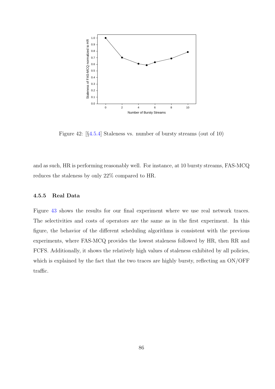<span id="page-98-0"></span>

Figure 42: [§4.5.4] Staleness vs. number of bursty streams (out of 10)

and as such, HR is performing reasonably well. For instance, at 10 bursty streams, FAS-MCQ reduces the staleness by only 22% compared to HR.

## 4.5.5 Real Data

Figure 43 shows the results for our final experiment where we use real network traces. The selectivities and costs of operators are the same as in the first experiment. In this figure, [the](#page-99-0) behavior of the different scheduling algorithms is consistent with the previous experiments, where FAS-MCQ provides the lowest staleness followed by HR, then RR and FCFS. Additionally, it shows the relatively high values of staleness exhibited by all policies, which is explained by the fact that the two traces are highly bursty, reflecting an ON/OFF traffic.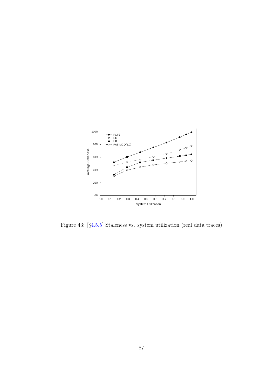<span id="page-99-0"></span>

Figure 43: [§4.5.5] Staleness vs. system utilization (real data traces)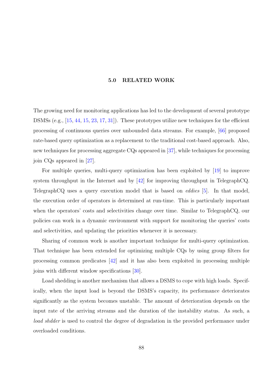#### 5.0 RELATED WORK

The growing need for monitoring applications has led to the development of several prototype DSMSs (e.g., [15, 44, 15, 23, 17, 31]). These prototypes utilize new techniques for the efficient processing of continuous queries over unbounded data streams. For example, [66] proposed rate-based qu[ery](#page-109-0) [opt](#page-111-0)[imization a](#page-109-0)[s a](#page-110-0) replacement to the traditional cost-based approach. Also, new techniques for processing aggregate CQs appeared in [37], while techniques [for p](#page-113-0)rocessing join CQs appeared in [27].

For multiple queries, multi-query optimization has [bee](#page-111-0)n exploited by [19] to improve system throughput in [the](#page-110-0) Internet and by  $[42]$  for improving throughput in TelegraphCQ. TelegraphCQ uses a query execution model that is based on eddies [5]. [In](#page-109-0) that model, the execution order of operators is determi[ned](#page-111-0) at run-time. This is particularly important when the operators' costs and selectivities change over time. Similar t[o](#page-108-0) TelegraphCQ, our policies can work in a dynamic environment with support for monitoring the queries' costs and selectivities, and updating the priorities whenever it is necessary.

Sharing of common work is another important technique for multi-query optimization. That technique has been extended for optimizing multiple CQs by using group filters for processing common predicates [42] and it has also been exploited in processing multiple joins with different window specifications [30].

Load shedding is another me[cha](#page-111-0)nism that allows a DSMS to cope with high loads. Specifically, when the input load is beyond th[e D](#page-110-0)SMS's capacity, its performance deteriorates significantly as the system becomes unstable. The amount of deterioration depends on the input rate of the arriving streams and the duration of the instability status. As such, a load shdder is used to control the degree of degradation in the provided performance under overloaded conditions.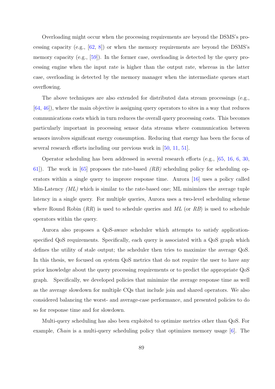Overloading might occur when the processing requirements are beyond the DSMS's processing capacity (e.g.,  $[62, 8]$ ) or when the memory requirements are beyond the DSMS's memory capacity (e.g., [59]). In the former case, overloading is detected by the query processing engine when t[he i](#page-113-0)[npu](#page-108-0)t rate is higher than the output rate, whereas in the latter case, overloading is det[ecte](#page-112-0)d by the memory manager when the intermediate queues start overflowing.

The above techniques are also extended for distributed data stream processings (e.g., [64, 46]), where the main objective is assigning query operators to sites in a way that reduces communications costs which in turn reduces the overall query processing costs. This becomes [par](#page-113-0)[ticu](#page-111-0)larly important in processing sensor data streams where communication between sensors involves significant energy consumption. Reducing that energy has been the focus of several research efforts including our previous work in [50, 11, 51].

Operator scheduling has been addressed in several research efforts (e.g., [65, 16, 6, 30, 61). The work in [65] proposes the rate-based  $(RB)$  [sch](#page-112-0)[edu](#page-109-0)l[ing](#page-112-0) policy for scheduling operators within a single query to improve response time. Aurora [16] uses a [po](#page-113-0)l[icy](#page-109-0) [ca](#page-108-0)[lled](#page-110-0) [Mi](#page-113-0)n-Latency  $(ML)$  [whi](#page-113-0)ch is similar to the rate-based one; ML minimizes the average tuple latency in a single query. For multiple queries, Aurora uses a two[-lev](#page-109-0)el scheduling scheme where Round Robin  $(RR)$  is used to schedule queries and ML (or RB) is used to schedule operators within the query.

Aurora also proposes a QoS-aware scheduler which attempts to satisfy applicationspecified QoS requirements. Specifically, each query is associated with a QoS graph which defines the utility of stale output; the scheduler then tries to maximize the average QoS. In this thesis, we focused on system QoS metrics that do not require the user to have any prior knowledge about the query processing requirements or to predict the appropriate QoS graph. Specifically, we developed policies that minimize the average response time as well as the average slowdown for multiple CQs that include join and shared operators. We also considered balancing the worst- and average-case performance, and presented policies to do so for response time and for slowdown.

Multi-query scheduling has also been exploited to optimize metrics other than QoS. For example, Chain is a multi-query scheduling policy that optimizes memory usage [6]. The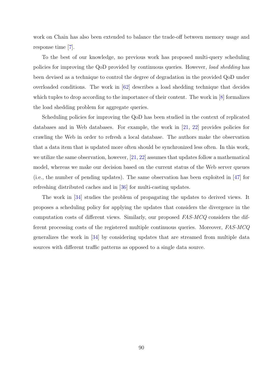work on Chain has also been extended to balance the trade-off between memory usage and response time [7].

To the best of our knowledge, no previous work has proposed multi-query scheduling policies for im[pro](#page-108-0)ving the QoD provided by continuous queries. However, load shedding has been devised as a technique to control the degree of degradation in the provided QoD under overloaded conditions. The work in  $[62]$  describes a load shedding technique that decides which tuples to drop according to the importance of their content. The work in [8] formalizes the load shedding problem for aggreg[ate](#page-113-0) queries.

Scheduling policies for improving the QoD has been studied in the context [of](#page-108-0) replicated databases and in Web databases. For example, the work in [21, 22] provides policies for crawling the Web in order to refresh a local database. The authors make the observation that a data item that is updated more often should be synchro[nized les](#page-109-0)s often. In this work, we utilize the same observation, however, [21, 22] assumes that updates follow a mathematical model, whereas we make our decision based on the current status of the Web server queues (i.e., the number of pending updates). T[he](#page-109-0) [sam](#page-109-0)e observation has been exploited in [47] for refreshing distributed caches and in [36] for multi-casting updates.

The work in [34] studies the problem of propagating the updates to derived vi[ews](#page-111-0). It proposes a scheduling policy for ap[plyin](#page-110-0)g the updates that considers the divergence in the computation cost[s of](#page-110-0) different views. Similarly, our proposed FAS-MCQ considers the different processing costs of the registered multiple continuous queries. Moreover, FAS-MCQ generalizes the work in [34] by considering updates that are streamed from multiple data sources with different traffic patterns as opposed to a single data source.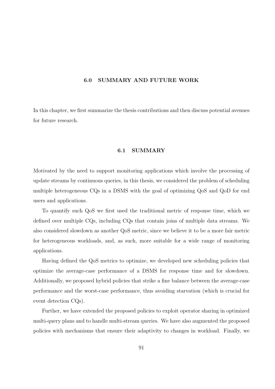## 6.0 SUMMARY AND FUTURE WORK

In this chapter, we first summarize the thesis contributions and then discuss potential avenues for future research.

## 6.1 SUMMARY

Motivated by the need to support monitoring applications which involve the processing of update streams by continuous queries, in this thesis, we considered the problem of scheduling multiple heterogeneous CQs in a DSMS with the goal of optimizing QoS and QoD for end users and applications.

To quantify such QoS we first used the traditional metric of response time, which we defined over multiple CQs, including CQs that contain joins of multiple data streams. We also considered slowdown as another QoS metric, since we believe it to be a more fair metric for heterogeneous workloads, and, as such, more suitable for a wide range of monitoring applications.

Having defined the QoS metrics to optimize, we developed new scheduling policies that optimize the average-case performance of a DSMS for response time and for slowdown. Additionally, we proposed hybrid policies that strike a fine balance between the average-case performance and the worst-case performance, thus avoiding starvation (which is crucial for event detection CQs).

Further, we have extended the proposed policies to exploit operator sharing in optimized multi-query plans and to handle multi-stream queries. We have also augmented the proposed policies with mechanisms that ensure their adaptivity to changes in workload. Finally, we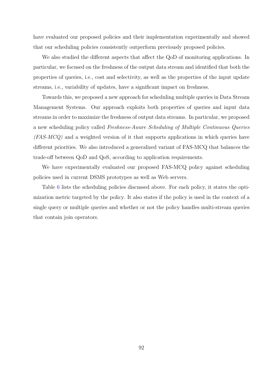have evaluated our proposed policies and their implementation experimentally and showed that our scheduling policies consistently outperform previously proposed policies.

We also studied the different aspects that affect the QoD of monitoring applications. In particular, we focused on the freshness of the output data stream and identified that both the properties of queries, i.e., cost and selectivity, as well as the properties of the input update streams, i.e., variability of updates, have a significant impact on freshness.

Towards this, we proposed a new approach for scheduling multiple queries in Data Stream Management Systems. Our approach exploits both properties of queries and input data streams in order to maximize the freshness of output data streams. In particular, we proposed a new scheduling policy called Freshness-Aware Scheduling of Multiple Continuous Queries  $(FAS-MCQ)$  and a weighted version of it that supports applications in which queries have different priorities. We also introduced a generalized variant of FAS-MCQ that balances the trade-off between QoD and QoS, according to application requirements.

We have experimentally evaluated our proposed FAS-MCQ policy against scheduling policies used in current DSMS prototypes as well as Web servers.

Table 6 lists the scheduling policies discussed above. For each policy, it states the optimization metric targeted by the policy. It also states if the policy is used in the context of a single qu[ery](#page-105-0) or multiple queries and whether or not the policy handles multi-stream queries that contain join operators.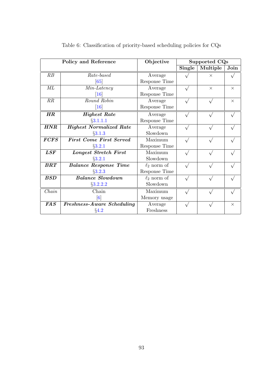<span id="page-105-0"></span>

| <b>Policy and Reference</b> |                                   | Objective        | Supported CQs |                              |          |
|-----------------------------|-----------------------------------|------------------|---------------|------------------------------|----------|
|                             |                                   |                  | Single        | $\overline{\text{Multiple}}$ | Join     |
| RB                          | Rate-based                        | Average          |               | $\times$                     |          |
|                             | [65]                              | Response Time    |               |                              |          |
| МL                          | $Min\text{-}Latency$              | Average          |               | $\times$                     | $\times$ |
|                             | $\left\lceil 16 \right\rceil$     | Response Time    |               |                              |          |
| RR                          | Round Robin                       | Average          |               |                              | $\times$ |
|                             | $\left[16\right]$                 | Response Time    |               |                              |          |
| HR                          | <b>Highest Rate</b>               | Average          |               |                              |          |
|                             | §3.1.1.1                          | Response Time    |               |                              |          |
| <b>HNR</b>                  | <b>Highest Normalized Rate</b>    | Average          |               |                              |          |
|                             | $\S3.1.3$                         | Slowdown         |               |                              |          |
| <b>FCFS</b>                 | <b>First Come First Served</b>    | Maximum          |               |                              |          |
|                             | $\S 3.2.1$                        | Response Time    |               |                              |          |
| LSF                         | Longest Stretch First             | Maximum          |               |                              |          |
|                             | $\S 3.2.1$                        | Slowdown         |               |                              |          |
| $\pmb{B}\pmb{R}\pmb{T}$     | <b>Balance Response Time</b>      | $\ell_2$ norm of |               |                              |          |
|                             | $\S 3.2.3$                        | Response Time    |               |                              |          |
| <b>BSD</b>                  | <b>Balance Slowdown</b>           | $\ell_2$ norm of |               |                              |          |
|                             | $\S3.2.2.2$                       | Slowdown         |               |                              |          |
| Chain                       | Chain                             | Maximum          |               |                              |          |
|                             | $\lceil 6 \rceil$                 | Memory usage     |               |                              |          |
| FAS                         | <b>Freshness-Aware Scheduling</b> | Average          |               |                              | $\times$ |
|                             | §4.2                              | Freshness        |               |                              |          |

Table 6: Classification of priority-based scheduling policies for CQs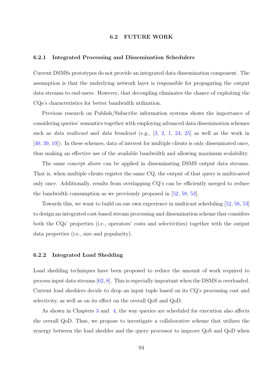#### 6.2 FUTURE WORK

#### 6.2.1 Integrated Processing and Dissemination Schedulers

Current DSMSs prototypes do not provide an integrated data dissemination component. The assumption is that the underlying network layer is responsible for propagating the output data streams to end-users. However, that decoupling eliminates the chance of exploiting the CQs's characteristics for better bandwidth utilization.

Previous research on Publish/Subscribe information systems shows the importance of considering queries' semantics together with employing advanced data dissemination schemes such as *data multicast* and *data broadcast* (e.g.,  $[3, 2, 1, 24, 25]$  as well as the work in [40, 39, 10]). In these schemes, data of interest for multiple clients is only disseminated once, thus making an effective use of the available band[width](#page-108-0) [an](#page-108-0)[d al](#page-110-0)l[owi](#page-110-0)ng maximum scalability.

[The](#page-111-0) [sa](#page-108-0)me concept above can be applied in disseminating DSMS output data streams. That is, when multiple clients register the same CQ, the output of that query is multicasted only once. Additionally, results from overlapping CQ's can be efficiently merged to reduce the bandwidth consumption as we previously proposed in [52, 58, 53].

Towards this, we want to build on our own experience in multicast scheduling [52, 58, 53] to design an integrated cost-based stream processing and dis[semination](#page-112-0) scheme that considers both the CQs' properties (i.e., operators' costs and selectivities) together with [the output](#page-112-0) data properties (i.e., size and popularity).

#### 6.2.2 Integrated Load Shedding

Load shedding techniques have been proposed to reduce the amount of work required to process input data streams [62, 8]. This is especially important when the DSMS is overloaded. Current load shedders decide to drop an input tuple based on its CQ's processing cost and selectivity, as well as on its [eff](#page-113-0)[ec](#page-108-0)t on the overall QoS and QoD.

As shown in Chapters 3 and 4, the way queries are scheduled for execution also affects the overall QoD. Thus, we propose to investigate a collaborative scheme that utilizes the synergy between the load [sh](#page-23-0)edde[r a](#page-77-0)nd the query processor to improve QoS and QoD when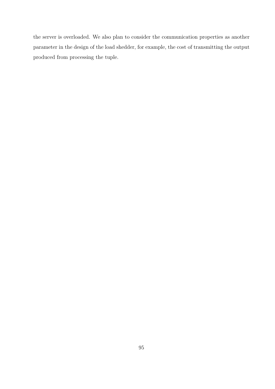the server is overloaded. We also plan to consider the communication properties as another parameter in the design of the load shedder, for example, the cost of transmitting the output produced from processing the tuple.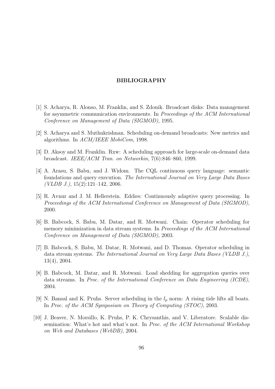## BIBLIOGRAPHY

- [1] S. Acharya, R. Alonso, M. Franklin, and S. Zdonik. Broadcast disks: Data management for asymmetric communication environments. In Proceedings of the ACM International Conference on Management of Data (SIGMOD), 1995.
- [2] S. Acharya and S. Muthukrishnan. Scheduling on-demand broadcasts: New metrics and algorithms. In ACM/IEEE MobiCom, 1998.
- [3] D. Aksoy and M. Franklin. Rxw: A scheduling approach for large-scale on-demand data broadcast. IEEE/ACM Tran. on Networkin, 7(6):846–860, 1999.
- [4] A. Arasu, S. Babu, and J. Widom. The CQL continuous query language: semantic foundations and query execution. The International Journal on Very Large Data Bases  $(VLDB J.), 15(2):121-142, 2006.$
- [5] R. Avnur and J. M. Hellerstein. Eddies: Continuously adaptive query processing. In Proceedings of the ACM International Conference on Management of Data (SIGMOD), 2000.
- [6] B. Babcock, S. Babu, M. Datar, and R. Motwani. Chain: Operator scheduling for memory minimization in data stream systems. In *Proceedings of the ACM International* Conference on Management of Data (SIGMOD), 2003.
- [7] B. Babcock, S. Babu, M. Datar, R. Motwani, and D. Thomas. Operator scheduling in data stream systems. The International Journal on Very Large Data Bases (VLDB J.), 13(4), 2004.
- [8] B. Babcock, M. Datar, and R. Motwani. Load shedding for aggregation queries over data streams. In Proc. of the International Conference on Data Engineering (ICDE), 2004.
- [9] N. Bansal and K. Pruhs. Server scheduling in the  $l_p$  norm: A rising tide lifts all boats. In Proc. of the ACM Symposium on Theory of Computing (STOC), 2003.
- [10] J. Beaver, N. Morsillo, K. Pruhs, P. K. Chrysanthis, and V. Liberatore. Scalable dissemination: What's hot and what's not. In Proc. of the ACM International Workshop on Web and Databases (WebDB), 2004.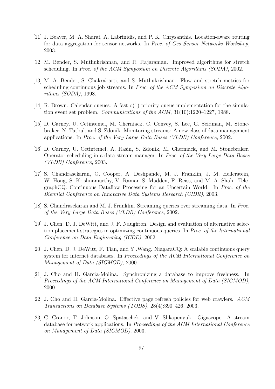- [11] J. Beaver, M. A. Sharaf, A. Labrinidis, and P. K. Chrysanthis. Location-aware routing for data aggregation for sensor networks. In Proc. of Geo Sensor Networks Workshop, 2003.
- [12] M. Bender, S. Muthukrishnan, and R. Rajaraman. Improved algorithms for stretch scheduling. In Proc. of the ACM Symposium on Discrete Algorithms (SODA), 2002.
- [13] M. A. Bender, S. Chakrabarti, and S. Muthukrishnan. Flow and stretch metrics for scheduling continuous job streams. In Proc. of the ACM Symposium on Discrete Algorithms (SODA), 1998.
- [14] R. Brown. Calendar queues: A fast o(1) priority queue implementation for the simulation event set problem. Communications of the ACM, 31(10):1220–1227, 1988.
- [15] D. Carney, U. Cetintemel, M. Cherniack, C. Convey, S. Lee, G. Seidman, M. Stonebraker, N. Tatbul, and S. Zdonik. Monitoring streams: A new class of data management applications. In Proc. of the Very Large Data Bases (VLDB) Conference, 2002.
- [16] D. Carney, U. Cetintemel, A. Rasin, S. Zdonik, M. Cherniack, and M. Stonebraker. Operator scheduling in a data stream manager. In Proc. of the Very Large Data Bases (VLDB) Conference, 2003.
- [17] S. Chandrasekaran, O. Cooper, A. Deshpande, M. J. Franklin, J. M. Hellerstein, W. Hong, S. Krishnamurthy, V. Raman S. Madden, F. Reiss, and M. A. Shah. TelegraphCQ: Continuous Dataflow Processing for an Uncertain World. In Proc. of the Biennial Conference on Innovative Data Systems Research (CIDR), 2003.
- [18] S. Chandrasekaran and M. J. Franklin. Streaming queries over streaming data. In Proc. of the Very Large Data Bases (VLDB) Conference, 2002.
- [19] J. Chen, D. J. DeWitt, and J. F. Naughton. Design and evaluation of alternative selection placement strategies in optimizing continuous queries. In Proc. of the International Conference on Data Engineering (ICDE), 2002.
- [20] J. Chen, D. J. DeWitt, F. Tian, and Y .Wang. NiagaraCQ: A scalable continuous query system for internet databases. In *Proceedings of the ACM International Conference on* Management of Data (SIGMOD), 2000.
- [21] J. Cho and H. Garcia-Molina. Synchronizing a database to improve freshness. In Proceedings of the ACM International Conference on Management of Data (SIGMOD), 2000.
- [22] J. Cho and H. Garcia-Molina. Effective page refresh policies for web crawlers. ACM Transactions on Database Systems (TODS), 28(4):390–426, 2003.
- [23] C. Cranor, T. Johnson, O. Spataschek, and V. Shkapenyuk. Gigascope: A stream database for network applications. In Proceedings of the ACM International Conference on Management of Data (SIGMOD), 2003.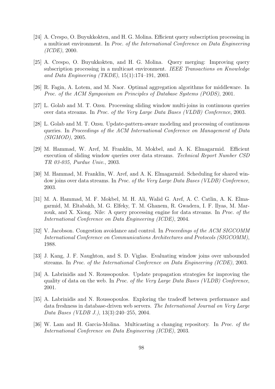- [24] A. Crespo, O. Buyukkokten, and H. G. Molina. Efficient query subscription processing in a multicast environment. In Proc. of the International Conference on Data Engineering (ICDE), 2000.
- [25] A. Crespo, O. Buyukkokten, and H. G. Molina. Query merging: Improving query subscription processing in a multicast environment. IEEE Transactions on Knowledge and Data Engineering (TKDE), 15(1):174–191, 2003.
- [26] R. Fagin, A. Lotem, and M. Naor. Optimal aggregation algorithms for middleware. In Proc. of the ACM Symposium on Principles of Database Systems (PODS), 2001.
- [27] L. Golab and M. T. Ozsu. Processing sliding window multi-joins in continuous queries over data streams. In Proc. of the Very Large Data Bases (VLDB) Conference, 2003.
- [28] L. Golab and M. T. Ozsu. Update-pattern-aware modeling and processing of continuous queries. In Proceedings of the ACM International Conference on Management of Data (SIGMOD), 2005.
- [29] M. Hammad, W. Aref, M. Franklin, M. Mokbel, and A. K. Elmagarmid. Efficient execution of sliding window queries over data streams. Technical Report Number CSD TR 03-035, Purdue Univ., 2003.
- [30] M. Hammad, M. Franklin, W. Aref, and A. K. Elmagarmid. Scheduling for shared window joins over data streams. In Proc. of the Very Large Data Bases (VLDB) Conference, 2003.
- [31] M. A. Hammad, M. F. Mokbel, M. H. Ali, Walid G. Aref, A. C. Catlin, A. K. Elmagarmid, M. Eltabakh, M. G. Elfeky, T. M. Ghanem, R. Gwadera, I. F. Ilyas, M. Marzouk, and X. Xiong. Nile: A query processing engine for data streams. In Proc. of the International Conference on Data Engineering (ICDE), 2004.
- [32] V. Jacobson. Congestion avoidance and control. In Proceedings of the ACM SIGCOMM International Conference on Communications Architectures and Protocols (SIGCOMM), 1988.
- [33] J. Kang, J. F. Naughton, and S. D. Viglas. Evaluating window joins over unbounded streams. In Proc. of the International Conference on Data Engineering (ICDE), 2003.
- [34] A. Labrinidis and N. Roussopoulos. Update propagation strategies for improving the quality of data on the web. In Proc. of the Very Large Data Bases (VLDB) Conference, 2001.
- [35] A. Labrinidis and N. Roussopoulos. Exploring the tradeoff between performance and data freshness in database-driven web servers. The International Journal on Very Large Data Bases (VLDB J.), 13(3):240–255, 2004.
- [36] W. Lam and H. Garcia-Molina. Multicasting a changing repository. In Proc. of the International Conference on Data Engineering (ICDE), 2003.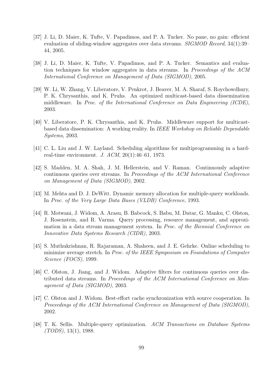- [37] J. Li, D. Maier, K. Tufte, V. Papadimos, and P. A. Tucker. No pane, no gain: efficient evaluation of sliding-window aggregates over data streams. *SIGMOD Record*, 34(1):39– 44, 2005.
- [38] J. Li, D. Maier, K. Tufte, V. Papadimos, and P. A. Tucker. Semantics and evaluation techniques for window aggregates in data streams. In Proceedings of the ACM International Conference on Management of Data (SIGMOD), 2005.
- [39] W. Li, W. Zhang, V. Liberatore, V. Penkrot, J. Beaver, M. A. Sharaf, S. Roychowdhury, P. K. Chrysanthis, and K. Pruhs. An optimized multicast-based data dissemination middleware. In Proc. of the International Conference on Data Engineering (ICDE), 2003.
- [40] V. Liberatore, P. K. Chrysanthis, and K. Pruhs. Middleware support for multicastbased data dissemination: A working reality. In IEEE Workshop on Reliable Dependable Systems, 2003.
- [41] C. L. Liu and J. W. Layland. Scheduling algorithms for multiprogramming in a hardreal-time environment. J. ACM, 20(1):46–61, 1973.
- [42] S. Madden, M. A. Shah, J. M. Hellerstein, and V. Raman. Continuously adaptive continuous queries over streams. In Proceedings of the ACM International Conference on Management of Data (SIGMOD), 2002.
- [43] M. Mehta and D. J. DeWitt. Dynamic memory allocation for multiple-query workloads. In Proc. of the Very Large Data Bases (VLDB) Conference, 1993.
- [44] R. Motwani, J. Widom, A. Arasu, B. Babcock, S. Babu, M. Datar, G. Manku, C. Olston, J. Rosenstein, and R. Varma. Query processing, resource management, and approximation in a data stream management system. In Proc. of the Biennial Conference on Innovative Data Systems Research (CIDR), 2003.
- [45] S. Muthukrishnan, R. Rajaraman, A. Shaheen, and J. E. Gehrke. Online scheduling to minimize average stretch. In Proc. of the IEEE Symposium on Foundations of Computer Science (FOCS), 1999.
- [46] C. Olston, J. Jiang, and J. Widom. Adaptive filters for continuous queries over distributed data streams. In Proceedings of the ACM International Conference on Management of Data (SIGMOD), 2003.
- [47] C. Olston and J. Widom. Best-effort cache synchronization with source cooperation. In Proceedings of the ACM International Conference on Management of Data (SIGMOD), 2002.
- [48] T. K. Sellis. Multiple-query optimization. ACM Transactions on Database Systems  $(TODS), 13(1), 1988.$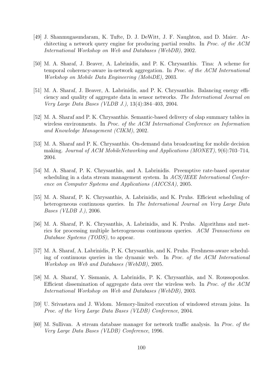- [49] J. Shanmugasundaram, K. Tufte, D. J. DeWitt, J. F. Naughton, and D. Maier. Architecting a network query engine for producing partial results. In Proc. of the ACM International Workshop on Web and Databases (WebDB), 2002.
- [50] M. A. Sharaf, J. Beaver, A. Labrinidis, and P. K. Chrysanthis. Tina: A scheme for temporal coherency-aware in-network aggregation. In Proc. of the ACM International Workshop on Mobile Data Engineering (MobiDE), 2003.
- [51] M. A. Sharaf, J. Beaver, A. Labrinidis, and P. K. Chrysanthis. Balancing energy efficiency and quality of aggregate data in sensor networks. The International Journal on Very Large Data Bases (VLDB J.), 13(4):384–403, 2004.
- [52] M. A. Sharaf and P. K. Chrysanthis. Semantic-based delivery of olap summary tables in wireless environments. In Proc. of the ACM International Conference on Information and Knowledge Management (CIKM), 2002.
- [53] M. A. Sharaf and P. K. Chrysanthis. On-demand data broadcasting for mobile decision making. Journal of ACM MobileNetworking and Applications (MONET), 9(6):703–714, 2004.
- [54] M. A. Sharaf, P. K. Chrysanthis, and A. Labrinidis. Preemptive rate-based operator scheduling in a data stream management system. In ACS/IEEE International Conference on Computer Systems and Applications (AICCSA), 2005.
- [55] M. A. Sharaf, P. K. Chrysanthis, A. Labrinidis, and K. Pruhs. Efficient scheduling of heterogeneous continuous queries. In The International Journal on Very Large Data Bases (VLDB J.), 2006.
- [56] M. A. Sharaf, P. K. Chrysanthis, A. Labrinidis, and K. Pruhs. Algorithms and metrics for processing multiple heterogeneous continuous queries. ACM Transactions on Database Systems (TODS), to appear.
- [57] M. A. Sharaf, A. Labrinidis, P. K. Chrysanthis, and K. Pruhs. Freshness-aware scheduling of continuous queries in the dynamic web. In Proc. of the ACM International Workshop on Web and Databases (WebDB), 2005.
- [58] M. A. Sharaf, Y. Sismanis, A. Labrinidis, P. K. Chrysanthis, and N. Roussopoulos. Efficient dissemination of aggregate data over the wireless web. In Proc. of the ACM International Workshop on Web and Databases (WebDB), 2003.
- [59] U. Srivastava and J. Widom. Memory-limited execution of windowed stream joins. In Proc. of the Very Large Data Bases (VLDB) Conference, 2004.
- [60] M. Sullivan. A stream database manager for network traffic analysis. In Proc. of the Very Large Data Bases (VLDB) Conference, 1996.